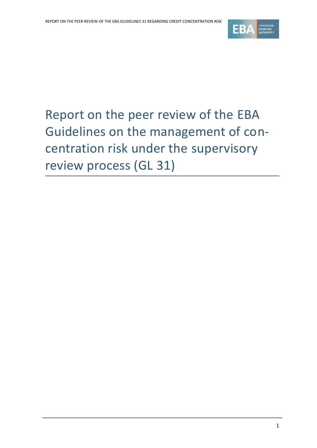

# Report on the peer review of the EBA Guidelines on the management of concentration risk under the supervisory review process (GL 31)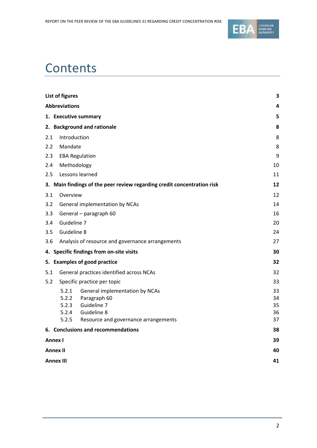

# **Contents**

| <b>Abbreviations</b>                                                    | 4<br>5   |  |  |
|-------------------------------------------------------------------------|----------|--|--|
|                                                                         |          |  |  |
| 1. Executive summary                                                    |          |  |  |
| 2. Background and rationale                                             | 8        |  |  |
| Introduction<br>2.1                                                     | 8        |  |  |
| 2.2<br>Mandate                                                          | 8        |  |  |
| <b>EBA Regulation</b><br>2.3                                            | 9        |  |  |
| Methodology<br>2.4                                                      | 10       |  |  |
| Lessons learned<br>2.5                                                  | 11       |  |  |
| 3. Main findings of the peer review regarding credit concentration risk | 12       |  |  |
| Overview<br>3.1                                                         | 12       |  |  |
| 3.2<br>General implementation by NCAs                                   | 14       |  |  |
| 3.3<br>General - paragraph 60                                           | 16       |  |  |
| Guideline 7<br>3.4                                                      | 20       |  |  |
| Guideline 8<br>3.5<br>24                                                |          |  |  |
| 3.6<br>Analysis of resource and governance arrangements<br>27           |          |  |  |
| 4. Specific findings from on-site visits<br>30                          |          |  |  |
| 5. Examples of good practice<br>32                                      |          |  |  |
| General practices identified across NCAs<br>5.1                         | 32       |  |  |
| 5.2<br>Specific practice per topic                                      | 33       |  |  |
| 5.2.1<br>General implementation by NCAs                                 | 33       |  |  |
| 5.2.2<br>Paragraph 60                                                   | 34       |  |  |
| Guideline 7<br>5.2.3<br>Guideline 8<br>5.2.4                            | 35<br>36 |  |  |
| 5.2.5<br>Resource and governance arrangements                           | 37       |  |  |
| 6. Conclusions and recommendations                                      | 38       |  |  |
| 39<br>Annex I                                                           |          |  |  |
| 40<br><b>Annex II</b>                                                   |          |  |  |
| 41<br><b>Annex III</b>                                                  |          |  |  |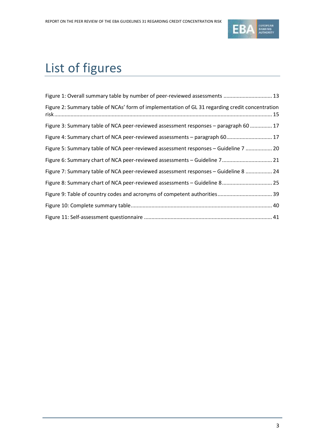

# List of figures

| Figure 1: Overall summary table by number of peer-reviewed assessments  13                      |
|-------------------------------------------------------------------------------------------------|
| Figure 2: Summary table of NCAs' form of implementation of GL 31 regarding credit concentration |
| Figure 3: Summary table of NCA peer-reviewed assessment responses - paragraph 60  17            |
| Figure 4: Summary chart of NCA peer-reviewed assessments - paragraph 60 17                      |
| Figure 5: Summary table of NCA peer-reviewed assessment responses - Guideline 7  20             |
| Figure 6: Summary chart of NCA peer-reviewed assessments - Guideline 7 21                       |
| Figure 7: Summary table of NCA peer-reviewed assessment responses - Guideline 8  24             |
| Figure 8: Summary chart of NCA peer-reviewed assessments - Guideline 8 25                       |
|                                                                                                 |
|                                                                                                 |
|                                                                                                 |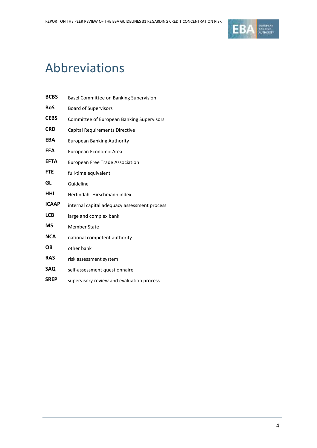

# Abbreviations

| <b>BCBS</b>  | Basel Committee on Banking Supervision           |  |  |  |
|--------------|--------------------------------------------------|--|--|--|
| <b>BoS</b>   | <b>Board of Supervisors</b>                      |  |  |  |
| <b>CEBS</b>  | <b>Committee of European Banking Supervisors</b> |  |  |  |
| <b>CRD</b>   | Capital Requirements Directive                   |  |  |  |
| <b>EBA</b>   | <b>European Banking Authority</b>                |  |  |  |
| EEA          | European Economic Area                           |  |  |  |
| <b>EFTA</b>  | <b>European Free Trade Association</b>           |  |  |  |
| <b>FTE</b>   | full-time equivalent                             |  |  |  |
| GL           | Guideline                                        |  |  |  |
| HHI          | Herfindahl-Hirschmann index                      |  |  |  |
| <b>ICAAP</b> | internal capital adequacy assessment process     |  |  |  |
| <b>LCB</b>   | large and complex bank                           |  |  |  |
| <b>MS</b>    | <b>Member State</b>                              |  |  |  |
| <b>NCA</b>   | national competent authority                     |  |  |  |
| OΒ           | other bank                                       |  |  |  |
| <b>RAS</b>   | risk assessment system                           |  |  |  |
| SAQ          | self-assessment questionnaire                    |  |  |  |
| <b>SREP</b>  | supervisory review and evaluation process        |  |  |  |
|              |                                                  |  |  |  |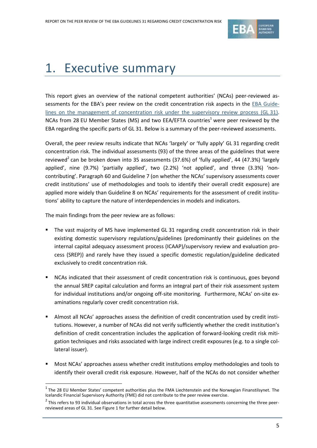

# 1. Executive summary

This report gives an overview of the national competent authorities' (NCAs) peer-reviewed assessments for the EBA's peer review on the credit concentration risk aspects in the [EBA Guide](https://www.eba.europa.eu/documents/10180/16094/Concentration.pdf)[lines on the management of concentration risk under the supervisory review process \(GL](https://www.eba.europa.eu/documents/10180/16094/Concentration.pdf) 31). NCAs from 28 EU Member States (MS) and two EEA/EFTA countries<sup>1</sup> were peer reviewed by the EBA regarding the specific parts of GL 31. Below is a summary of the peer-reviewed assessments.

Overall, the peer review results indicate that NCAs 'largely' or 'fully apply' GL 31 regarding credit concentration risk. The individual assessments (93) of the three areas of the guidelines that were reviewed<sup>2</sup> can be broken down into 35 assessments (37.6%) of 'fully applied', 44 (47.3%) 'largely applied', nine (9.7%) 'partially applied', two (2.2%) 'not applied', and three (3.3%) 'noncontributing'. Paragraph 60 and Guideline 7 (on whether the NCAs' supervisory assessments cover credit institutions' use of methodologies and tools to identify their overall credit exposure) are applied more widely than Guideline 8 on NCAs' requirements for the assessment of credit institutions' ability to capture the nature of interdependencies in models and indicators.

The main findings from the peer review are as follows:

- The vast majority of MS have implemented GL 31 regarding credit concentration risk in their existing domestic supervisory regulations/guidelines (predominantly their guidelines on the internal capital adequacy assessment process (ICAAP)/supervisory review and evaluation process (SREP)) and rarely have they issued a specific domestic regulation/guideline dedicated exclusively to credit concentration risk.
- NCAs indicated that their assessment of credit concentration risk is continuous, goes beyond the annual SREP capital calculation and forms an integral part of their risk assessment system for individual institutions and/or ongoing off-site monitoring. Furthermore, NCAs' on-site examinations regularly cover credit concentration risk.
- Almost all NCAs' approaches assess the definition of credit concentration used by credit institutions. However, a number of NCAs did not verify sufficiently whether the credit institution's definition of credit concentration includes the application of forward-looking credit risk mitigation techniques and risks associated with large indirect credit exposures (e.g. to a single collateral issuer).
- Most NCAs' approaches assess whether credit institutions employ methodologies and tools to identify their overall credit risk exposure. However, half of the NCAs do not consider whether

 $<sup>1</sup>$  The 28 EU Member States' competent authorities plus the FMA Liechtenstein and the Norwegian Finanstilsynet. The</sup> Icelandic Financial Supervisory Authority (FME) did not contribute to the peer review exercise.

 $^2$  This refers to 93 individual observations in total across the three quantitative assessments concerning the three peerreviewed areas of GL 31. See Figure 1 for further detail below.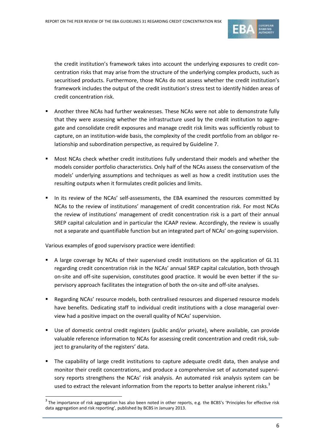

the credit institution's framework takes into account the underlying exposures to credit concentration risks that may arise from the structure of the underlying complex products, such as securitised products. Furthermore, those NCAs do not assess whether the credit institution's framework includes the output of the credit institution's stress test to identify hidden areas of credit concentration risk.

- Another three NCAs had further weaknesses. These NCAs were not able to demonstrate fully that they were assessing whether the infrastructure used by the credit institution to aggregate and consolidate credit exposures and manage credit risk limits was sufficiently robust to capture, on an institution-wide basis, the complexity of the credit portfolio from an obligor relationship and subordination perspective, as required by Guideline 7.
- Most NCAs check whether credit institutions fully understand their models and whether the models consider portfolio characteristics. Only half of the NCAs assess the conservatism of the models' underlying assumptions and techniques as well as how a credit institution uses the resulting outputs when it formulates credit policies and limits.
- In its review of the NCAs' self-assessments, the EBA examined the resources committed by NCAs to the review of institutions' management of credit concentration risk. For most NCAs the review of institutions' management of credit concentration risk is a part of their annual SREP capital calculation and in particular the ICAAP review. Accordingly, the review is usually not a separate and quantifiable function but an integrated part of NCAs' on-going supervision.

Various examples of good supervisory practice were identified:

- A large coverage by NCAs of their supervised credit institutions on the application of GL 31 regarding credit concentration risk in the NCAs' annual SREP capital calculation, both through on-site and off-site supervision, constitutes good practice. It would be even better if the supervisory approach facilitates the integration of both the on-site and off-site analyses.
- Regarding NCAs' resource models, both centralised resources and dispersed resource models have benefits. Dedicating staff to individual credit institutions with a close managerial overview had a positive impact on the overall quality of NCAs' supervision.
- Use of domestic central credit registers (public and/or private), where available, can provide valuable reference information to NCAs for assessing credit concentration and credit risk, subject to granularity of the registers' data.
- The capability of large credit institutions to capture adequate credit data, then analyse and monitor their credit concentrations, and produce a comprehensive set of automated supervisory reports strengthens the NCAs' risk analysis. An automated risk analysis system can be used to extract the relevant information from the reports to better analyse inherent risks.<sup>3</sup>

 $3$  The importance of risk aggregation has also been noted in other reports, e.g. the BCBS's 'Principles for effective risk data aggregation and risk reporting', published by BCBS in January 2013.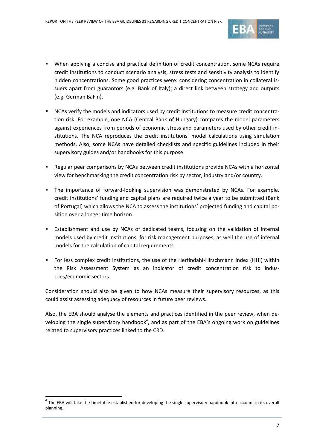

- When applying a concise and practical definition of credit concentration, some NCAs require credit institutions to conduct scenario analysis, stress tests and sensitivity analysis to identify hidden concentrations. Some good practices were: considering concentration in collateral issuers apart from guarantors (e.g. Bank of Italy); a direct link between strategy and outputs (e.g. German BaFin).
- NCAs verify the models and indicators used by credit institutions to measure credit concentration risk. For example, one NCA (Central Bank of Hungary) compares the model parameters against experiences from periods of economic stress and parameters used by other credit institutions. The NCA reproduces the credit institutions' model calculations using simulation methods. Also, some NCAs have detailed checklists and specific guidelines included in their supervisory guides and/or handbooks for this purpose.
- Regular peer comparisons by NCAs between credit institutions provide NCAs with a horizontal view for benchmarking the credit concentration risk by sector, industry and/or country.
- The importance of forward-looking supervision was demonstrated by NCAs. For example, credit institutions' funding and capital plans are required twice a year to be submitted (Bank of Portugal) which allows the NCA to assess the institutions' projected funding and capital position over a longer time horizon.
- Establishment and use by NCAs of dedicated teams, focusing on the validation of internal models used by credit institutions, for risk management purposes, as well the use of internal models for the calculation of capital requirements.
- For less complex credit institutions, the use of the Herfindahl-Hirschmann index (HHI) within the Risk Assessment System as an indicator of credit concentration risk to industries/economic sectors.

Consideration should also be given to how NCAs measure their supervisory resources, as this could assist assessing adequacy of resources in future peer reviews.

Also, the EBA should analyse the elements and practices identified in the peer review, when developing the single supervisory handbook<sup>4</sup>, and as part of the EBA's ongoing work on guidelines related to supervisory practices linked to the CRD.

 $^4$  The EBA will take the timetable established for developing the single supervisory handbook into account in its overall planning.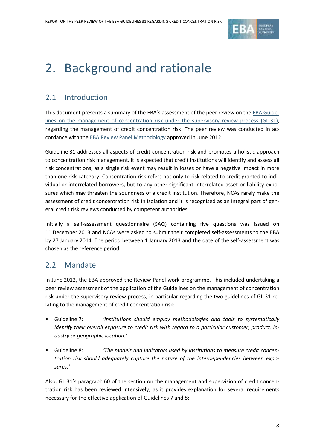

# 2. Background and rationale

## 2.1 Introduction

This document presents a summary of the EBA's assessment of the peer review on the [EBA Guide](http://www.eba.europa.eu/documents/10180/16094/Concentration.pdf)[lines on the management of concentration risk under the supervisory review process \(GL](http://www.eba.europa.eu/documents/10180/16094/Concentration.pdf) 31), regarding the management of credit concentration risk. The peer review was conducted in accordance with th[e EBA Review Panel Methodology](http://www.eba.europa.eu/documents/10180/15911/EBA-BS-2012-107--Proposed-Methodology-for-EBA-Review-Panel-.pdf) approved in June 2012.

Guideline 31 addresses all aspects of credit concentration risk and promotes a holistic approach to concentration risk management. It is expected that credit institutions will identify and assess all risk concentrations, as a single risk event may result in losses or have a negative impact in more than one risk category. Concentration risk refers not only to risk related to credit granted to individual or interrelated borrowers, but to any other significant interrelated asset or liability exposures which may threaten the soundness of a credit institution. Therefore, NCAs rarely make the assessment of credit concentration risk in isolation and it is recognised as an integral part of general credit risk reviews conducted by competent authorities.

Initially a self-assessment questionnaire (SAQ) containing five questions was issued on 11 December 2013 and NCAs were asked to submit their completed self-assessments to the EBA by 27 January 2014. The period between 1 January 2013 and the date of the self-assessment was chosen as the reference period.

## 2.2 Mandate

In June 2012, the EBA approved the Review Panel work programme. This included undertaking a peer review assessment of the application of the Guidelines on the management of concentration risk under the supervisory review process, in particular regarding the two guidelines of GL 31 relating to the management of credit concentration risk:

- Guideline 7: *'Institutions should employ methodologies and tools to systematically identify their overall exposure to credit risk with regard to a particular customer, product, industry or geographic location.'*
- Guideline 8: *'The models and indicators used by institutions to measure credit concentration risk should adequately capture the nature of the interdependencies between exposures.'*

Also, GL 31's paragraph 60 of the section on the management and supervision of credit concentration risk has been reviewed intensively, as it provides explanation for several requirements necessary for the effective application of Guidelines 7 and 8: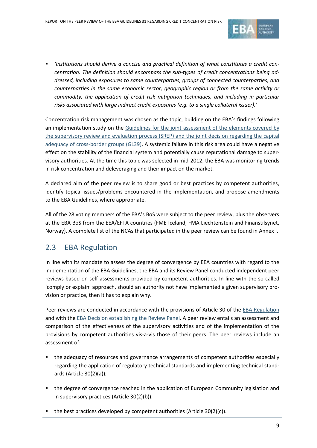

 *'Institutions should derive a concise and practical definition of what constitutes a credit concentration. The definition should encompass the sub-types of credit concentrations being addressed, including exposures to same counterparties, groups of connected counterparties, and counterparties in the same economic sector, geographic region or from the same activity or commodity, the application of credit risk mitigation techniques, and including in particular risks associated with large indirect credit exposures (e.g. to a single collateral issuer).'*

Concentration risk management was chosen as the topic, building on the EBA's findings following an implementation study on the [Guidelines for the joint assessment of the elements covered by](http://www.eba.europa.eu/documents/10180/15920/CEBS)  [the supervisory review and evaluation process \(SREP\) and the joint decision regarding the capital](http://www.eba.europa.eu/documents/10180/15920/CEBS)  [adequacy of cross-border groups \(GL39\).](http://www.eba.europa.eu/documents/10180/15920/CEBS) A systemic failure in this risk area could have a negative effect on the stability of the financial system and potentially cause reputational damage to supervisory authorities. At the time this topic was selected in mid-2012, the EBA was monitoring trends in risk concentration and deleveraging and their impact on the market.

A declared aim of the peer review is to share good or best practices by competent authorities, identify topical issues/problems encountered in the implementation, and propose amendments to the EBA Guidelines, where appropriate.

All of the 28 voting members of the EBA's BoS were subject to the peer review, plus the observers at the EBA BoS from the EEA/EFTA countries (FME Iceland, FMA Liechtenstein and Finanstilsynet, Norway). A complete list of the NCAs that participated in the peer review can be found in Annex I.

## 2.3 EBA Regulation

In line with its mandate to assess the degree of convergence by EEA countries with regard to the implementation of the EBA Guidelines, the EBA and its Review Panel conducted independent peer reviews based on self-assessments provided by competent authorities. In line with the so-called 'comply or explain' approach, should an authority not have implemented a given supervisory provision or practice, then it has to explain why.

Peer reviews are conducted in accordance with the provisions of Article 30 of the [EBA Regulation](http://eur-lex.europa.eu/legal-content/EN/TXT/?qid=1404295047953&uri=CELEX:02010R1093-20140320) and with the [EBA Decision establishing the Review Panel.](http://www.eba.europa.eu/documents/10180/16082/Decision-establishing-the-Review-Panel.pdf/20be9ae6-4a56-4ff1-acad-5e53140b6d3d) A peer review entails an assessment and comparison of the effectiveness of the supervisory activities and of the implementation of the provisions by competent authorities vis-à-vis those of their peers. The peer reviews include an assessment of:

- the adequacy of resources and governance arrangements of competent authorities especially regarding the application of regulatory technical standards and implementing technical standards (Article 30(2)(a));
- the degree of convergence reached in the application of European Community legislation and in supervisory practices (Article 30(2)(b));
- the best practices developed by competent authorities (Article 30(2)(c)).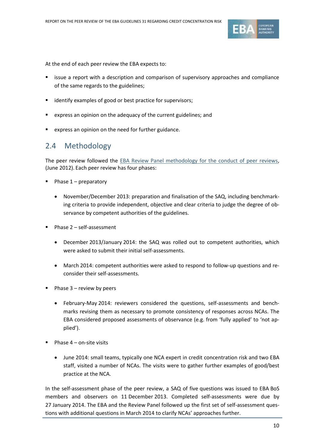

At the end of each peer review the EBA expects to:

- issue a report with a description and comparison of supervisory approaches and compliance of the same regards to the guidelines;
- identify examples of good or best practice for supervisors;
- express an opinion on the adequacy of the current guidelines; and
- express an opinion on the need for further guidance.

### 2.4 Methodology

The peer review followed the [EBA Review Panel methodology for the conduct of peer reviews,](http://www.eba.europa.eu/documents/10180/15911/EBA-BS-2012-107--Proposed-Methodology-for-EBA-Review-Panel-.pdf) (June 2012). Each peer review has four phases:

- Phase 1 preparatory
	- November/December 2013: preparation and finalisation of the SAQ, including benchmarking criteria to provide independent, objective and clear criteria to judge the degree of observance by competent authorities of the guidelines.
- Phase 2 self-assessment
	- December 2013/January 2014: the SAQ was rolled out to competent authorities, which were asked to submit their initial self-assessments.
	- March 2014: competent authorities were asked to respond to follow-up questions and reconsider their self-assessments.
- Phase 3 review by peers
	- February-May 2014: reviewers considered the questions, self-assessments and benchmarks revising them as necessary to promote consistency of responses across NCAs. The EBA considered proposed assessments of observance (e.g. from 'fully applied' to 'not applied').
- Phase  $4 -$  on-site visits
	- June 2014: small teams, typically one NCA expert in credit concentration risk and two EBA staff, visited a number of NCAs. The visits were to gather further examples of good/best practice at the NCA.

In the self-assessment phase of the peer review, a SAQ of five questions was issued to EBA BoS members and observers on 11 December 2013. Completed self-assessments were due by 27 January 2014. The EBA and the Review Panel followed up the first set of self-assessment questions with additional questions in March 2014 to clarify NCAs' approaches further.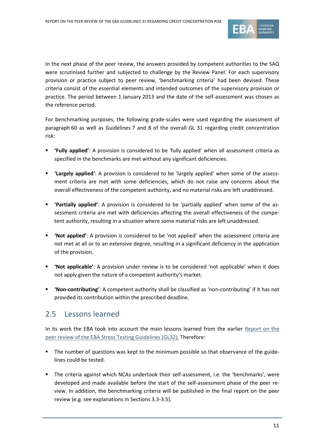

In the next phase of the peer review, the answers provided by competent authorities to the SAQ were scrutinised further and subjected to challenge by the Review Panel. For each supervisory provision or practice subject to peer review, 'benchmarking criteria' had been devised. These criteria consist of the essential elements and intended outcomes of the supervisory provision or practice. The period between 1 January 2013 and the date of the self-assessment was chosen as the reference period.

For benchmarking purposes, the following grade-scales were used regarding the assessment of paragraph 60 as well as Guidelines 7 and 8 of the overall GL 31 regarding credit concentration risk:

- **'Fully applied'**: A provision is considered to be 'fully applied' when all assessment criteria as specified in the benchmarks are met without any significant deficiencies.
- **'Largely applied'**: A provision is considered to be 'largely applied' when some of the assessment criteria are met with some deficiencies, which do not raise any concerns about the overall effectiveness of the competent authority, and no material risks are left unaddressed.
- **'Partially applied'**: A provision is considered to be 'partially applied' when some of the assessment criteria are met with deficiencies affecting the overall effectiveness of the competent authority, resulting in a situation where some material risks are left unaddressed.
- **'Not applied'**: A provision is considered to be 'not applied' when the assessment criteria are not met at all or to an extensive degree, resulting in a significant deficiency in the application of the provision.
- **'Not applicable'**: A provision under review is to be considered 'not applicable' when it does not apply given the nature of a competent authority's market.
- **'Non-contributing'**: A competent authority shall be classified as 'non-contributing' if it has not provided its contribution within the prescribed deadline.

## 2.5 Lessons learned

In its work the EBA took into account the main lessons learned from the earlier [Report on the](http://www.eba.europa.eu/documents/10180/482428/EBA+2013+Report+%28Report+on+the+Peer+Review+of+the+Stress+Testing+Guidelines%29.pdf/2dfa9d40-a2a7-4006-9c49-f883a4aa49cc)  peer review of [the EBA Stress Testing Guidelines](http://www.eba.europa.eu/documents/10180/482428/EBA+2013+Report+%28Report+on+the+Peer+Review+of+the+Stress+Testing+Guidelines%29.pdf/2dfa9d40-a2a7-4006-9c49-f883a4aa49cc) (GL32). Therefore:

- The number of questions was kept to the minimum possible so that observance of the guidelines could be tested.
- The criteria against which NCAs undertook their self-assessment, i.e. the 'benchmarks', were developed and made available before the start of the self-assessment phase of the peer review. In addition, the benchmarking criteria will be published in the final report on the peer review (e.g. see explanations in Sections 3.3-3.5).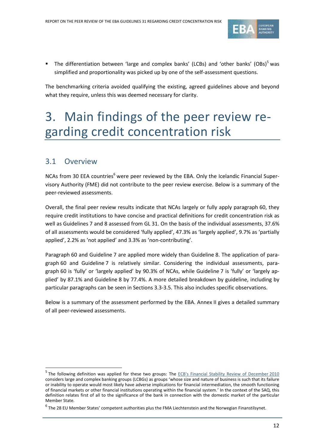

The differentiation between 'large and complex banks' (LCBs) and 'other banks' (OBs)<sup>5</sup> was simplified and proportionality was picked up by one of the self-assessment questions.

The benchmarking criteria avoided qualifying the existing, agreed guidelines above and beyond what they require, unless this was deemed necessary for clarity.

# 3. Main findings of the peer review regarding credit concentration risk

## 3.1 Overview

1

NCAs from 30 EEA countries<sup>6</sup> were peer reviewed by the EBA. Only the Icelandic Financial Supervisory Authority (FME) did not contribute to the peer review exercise. Below is a summary of the peer-reviewed assessments.

Overall, the final peer review results indicate that NCAs largely or fully apply paragraph 60, they require credit institutions to have concise and practical definitions for credit concentration risk as well as Guidelines 7 and 8 assessed from GL 31. On the basis of the individual assessments, 37.6% of all assessments would be considered 'fully applied', 47.3% as 'largely applied', 9.7% as 'partially applied', 2.2% as 'not applied' and 3.3% as 'non-contributing'.

Paragraph 60 and Guideline 7 are applied more widely than Guideline 8. The application of paragraph 60 and Guideline 7 is relatively similar. Considering the individual assessments, paragraph 60 is 'fully' or 'largely applied' by 90.3% of NCAs, while Guideline 7 is 'fully' or 'largely applied' by 87.1% and Guideline 8 by 77.4%. A more detailed breakdown by guideline, including by particular paragraphs can be seen in Sections 3.3-3.5. This also includes specific observations.

Below is a summary of the assessment performed by the EBA. Annex II gives a detailed summary of all peer-reviewed assessments.

<sup>&</sup>lt;sup>5</sup> The following definition was applied for these two groups: The [ECB's Financial Stability Review of December](http://www.ecb.europa.eu/pub/pdf/other/financialstabilityreview201012en.pdf??cd3d821010bce731ce2d7cdb7875d411) 2010 considers large and complex banking groups (LCBGs) as groups 'whose size and nature of business is such that its failure or inability to operate would most likely have adverse implications for financial intermediation, the smooth functioning of financial markets or other financial institutions operating within the financial system.' In the context of the SAQ, this definition relates first of all to the significance of the bank in connection with the domestic market of the particular Member State.

<sup>6</sup> The 28 EU Member States' competent authorities plus the FMA Liechtenstein and the Norwegian Finanstilsynet.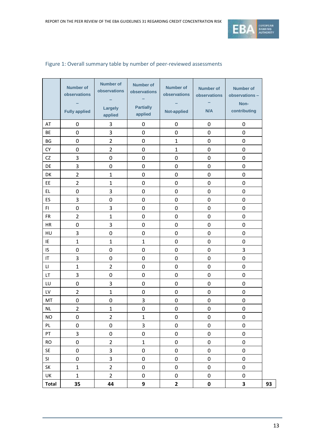

|                        | <b>Number of</b><br>observations<br><b>Fully applied</b> | <b>Number of</b><br>observations<br>Largely<br>applied | <b>Number of</b><br>observations<br><b>Partially</b><br>applied | <b>Number of</b><br>observations<br><b>Not-applied</b> | <b>Number of</b><br>observations<br>N/A | <b>Number of</b><br>observations -<br>Non-<br>contributing |
|------------------------|----------------------------------------------------------|--------------------------------------------------------|-----------------------------------------------------------------|--------------------------------------------------------|-----------------------------------------|------------------------------------------------------------|
| AT                     | $\mathbf 0$                                              | 3                                                      | 0                                                               | $\mathbf 0$                                            | $\mathbf 0$                             | $\mathbf 0$                                                |
| <b>BE</b>              | 0                                                        | 3                                                      | 0                                                               | 0                                                      | $\mathbf 0$                             | $\mathbf 0$                                                |
| BG                     | 0                                                        | $\overline{2}$                                         | $\mathbf 0$                                                     | $\mathbf{1}$                                           | 0                                       | $\mathbf 0$                                                |
| CY                     | 0                                                        | $\overline{2}$                                         | 0                                                               | $\mathbf{1}$                                           | 0                                       | $\mathbf 0$                                                |
| <b>CZ</b>              | 3                                                        | $\mathbf 0$                                            | 0                                                               | 0                                                      | $\mathbf 0$                             | $\mathbf 0$                                                |
| DE                     | 3                                                        | $\mathbf 0$                                            | 0                                                               | $\mathbf 0$                                            | 0                                       | $\mathbf 0$                                                |
| DK                     | $\overline{2}$                                           | $\mathbf{1}$                                           | 0                                                               | 0                                                      | 0                                       | $\mathbf 0$                                                |
| EE                     | $\overline{2}$                                           | $\mathbf{1}$                                           | $\mathbf 0$                                                     | 0                                                      | $\mathbf 0$                             | $\mathbf 0$                                                |
| EL.                    | $\mathbf 0$                                              | 3                                                      | $\mathbf 0$                                                     | 0                                                      | 0                                       | $\mathbf 0$                                                |
| <b>ES</b>              | 3                                                        | $\mathbf 0$                                            | 0                                                               | 0                                                      | $\boldsymbol{0}$                        | $\pmb{0}$                                                  |
| FI.                    | $\mathbf 0$                                              | 3                                                      | $\mathbf 0$                                                     | 0                                                      | 0                                       | $\mathbf 0$                                                |
| <b>FR</b>              | $\overline{2}$                                           | $\mathbf{1}$                                           | $\mathbf 0$                                                     | 0                                                      | 0                                       | $\mathbf 0$                                                |
| HR                     | $\mathbf 0$                                              | 3                                                      | $\mathbf 0$                                                     | $\mathbf 0$                                            | $\boldsymbol{0}$                        | $\mathbf 0$                                                |
| HU                     | 3                                                        | $\mathbf 0$                                            | 0                                                               | $\mathbf 0$                                            | $\mathbf 0$                             | $\mathbf 0$                                                |
| IE                     | $\mathbf{1}$                                             | $\mathbf{1}$                                           | $\mathbf{1}$                                                    | 0                                                      | 0                                       | $\mathbf 0$                                                |
| IS.                    | $\mathbf 0$                                              | $\mathbf 0$                                            | $\mathbf 0$                                                     | 0                                                      | $\boldsymbol{0}$                        | 3                                                          |
| IT                     | 3                                                        | $\mathbf 0$                                            | 0                                                               | 0                                                      | $\mathbf 0$                             | $\mathbf 0$                                                |
| $\mathsf{L}\mathsf{L}$ | $\mathbf{1}$                                             | $\overline{2}$                                         | 0                                                               | 0                                                      | 0                                       | $\mathbf 0$                                                |
| LT.                    | 3                                                        | $\mathbf 0$                                            | $\mathbf 0$                                                     | 0                                                      | 0                                       | $\mathbf 0$                                                |
| LU                     | $\mathbf 0$                                              | 3                                                      | $\mathbf 0$                                                     | $\mathbf 0$                                            | $\mathbf 0$                             | $\mathbf 0$                                                |
| LV                     | $\overline{2}$                                           | $\mathbf{1}$                                           | 0                                                               | 0                                                      | $\mathbf 0$                             | $\mathbf 0$                                                |
| MT                     | 0                                                        | $\mathbf 0$                                            | 3                                                               | $\mathbf 0$                                            | 0                                       | $\mathbf 0$                                                |
| NL                     | $\overline{2}$                                           | $\mathbf{1}$                                           | 0                                                               | 0                                                      | 0                                       | $\boldsymbol{0}$                                           |
| $\sf{NO}$              | $\pmb{0}$                                                | $\overline{\mathbf{c}}$                                | $\mathbf{1}$                                                    | 0                                                      | $\pmb{0}$                               | $\pmb{0}$                                                  |
| PL                     | $\pmb{0}$                                                | $\pmb{0}$                                              | $\overline{3}$                                                  | $\pmb{0}$                                              | $\pmb{0}$                               | $\pmb{0}$                                                  |
| ${\sf PT}$             | $\overline{\mathbf{3}}$                                  | $\pmb{0}$                                              | $\pmb{0}$                                                       | 0                                                      | $\pmb{0}$                               | $\pmb{0}$                                                  |
| <b>RO</b>              | $\pmb{0}$                                                | $\overline{2}$                                         | $\mathbf 1$                                                     | $\pmb{0}$                                              | $\pmb{0}$                               | $\pmb{0}$                                                  |
| SE                     | $\pmb{0}$                                                | 3                                                      | $\pmb{0}$                                                       | $\pmb{0}$                                              | 0                                       | $\pmb{0}$                                                  |
| SI                     | $\pmb{0}$                                                | 3                                                      | $\pmb{0}$                                                       | $\pmb{0}$                                              | $\pmb{0}$                               | $\pmb{0}$                                                  |
| SK                     | $\mathbf 1$                                              | $\overline{2}$                                         | $\pmb{0}$                                                       | $\pmb{0}$                                              | $\pmb{0}$                               | $\pmb{0}$                                                  |
| UK                     | $\mathbf 1$                                              | $\overline{2}$                                         | $\pmb{0}$                                                       | 0                                                      | $\pmb{0}$                               | $\pmb{0}$                                                  |
| <b>Total</b>           | 35                                                       | 44                                                     | 9                                                               | $\mathbf{2}$                                           | $\pmb{0}$                               | 3                                                          |

### Figure 1: Overall summary table by number of peer-reviewed assessments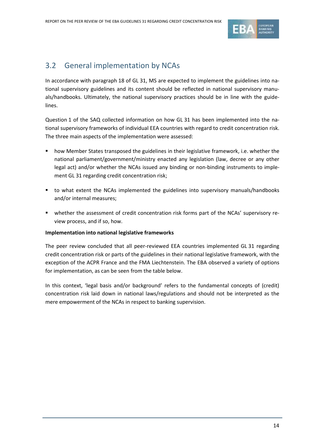

## 3.2 General implementation by NCAs

In accordance with paragraph 18 of GL 31, MS are expected to implement the guidelines into national supervisory guidelines and its content should be reflected in national supervisory manuals/handbooks. Ultimately, the national supervisory practices should be in line with the guidelines.

Question 1 of the SAQ collected information on how GL 31 has been implemented into the national supervisory frameworks of individual EEA countries with regard to credit concentration risk. The three main aspects of the implementation were assessed:

- how Member States transposed the guidelines in their legislative framework, i.e. whether the national parliament/government/ministry enacted any legislation (law, decree or any other legal act) and/or whether the NCAs issued any binding or non-binding instruments to implement GL 31 regarding credit concentration risk;
- to what extent the NCAs implemented the guidelines into supervisory manuals/handbooks and/or internal measures;
- whether the assessment of credit concentration risk forms part of the NCAs' supervisory review process, and if so, how.

#### **Implementation into national legislative frameworks**

The peer review concluded that all peer-reviewed EEA countries implemented GL 31 regarding credit concentration risk or parts of the guidelines in their national legislative framework, with the exception of the ACPR France and the FMA Liechtenstein. The EBA observed a variety of options for implementation, as can be seen from the table below.

In this context, 'legal basis and/or background' refers to the fundamental concepts of (credit) concentration risk laid down in national laws/regulations and should not be interpreted as the mere empowerment of the NCAs in respect to banking supervision.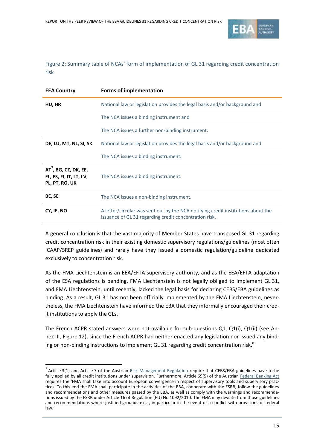

Figure 2: Summary table of NCAs' form of implementation of GL 31 regarding credit concentration risk

| <b>EEA Country</b>                                                    | <b>Forms of implementation</b>                                                                                                              |
|-----------------------------------------------------------------------|---------------------------------------------------------------------------------------------------------------------------------------------|
| HU, HR                                                                | National law or legislation provides the legal basis and/or background and                                                                  |
|                                                                       | The NCA issues a binding instrument and                                                                                                     |
|                                                                       | The NCA issues a further non-binding instrument.                                                                                            |
| DE, LU, MT, NL, SI, SK                                                | National law or legislation provides the legal basis and/or background and                                                                  |
|                                                                       | The NCA issues a binding instrument.                                                                                                        |
| $AT^7$ , BG, CZ, DK, EE,<br>EL, ES, FI, IT, LT, LV,<br>PL, PT, RO, UK | The NCA issues a binding instrument.                                                                                                        |
| BE, SE                                                                | The NCA issues a non-binding instrument.                                                                                                    |
| CY, IE, NO                                                            | A letter/circular was sent out by the NCA notifying credit institutions about the<br>issuance of GL 31 regarding credit concentration risk. |

A general conclusion is that the vast majority of Member States have transposed GL 31 regarding credit concentration risk in their existing domestic supervisory regulations/guidelines (most often ICAAP/SREP guidelines) and rarely have they issued a domestic regulation/guideline dedicated exclusively to concentration risk.

As the FMA Liechtenstein is an EEA/EFTA supervisory authority, and as the EEA/EFTA adaptation of the ESA regulations is pending, FMA Liechtenstein is not legally obliged to implement GL 31, and FMA Liechtenstein, until recently, lacked the legal basis for declaring CEBS/EBA guidelines as binding. As a result, GL 31 has not been officially implemented by the FMA Liechtenstein, nevertheless, the FMA Liechtenstein have informed the EBA that they informally encouraged their credit institutions to apply the GLs.

The French ACPR stated answers were not available for sub-questions Q1, Q1(i), Q1(ii) (see Annex III, Figure 12), since the French ACPR had neither enacted any legislation nor issued any binding or non-binding instructions to implement GL 31 regarding credit concentration risk. ${}^{8}$ 

<sup>&</sup>lt;sup>7</sup> Article 3(1) and Article 7 of the Austrian [Risk Management Regulation](http://www.fma.gv.at/typo3conf/ext/dam_download/secure.php?u=0&file=11327&t=1397057588&hash=832e4c43d682597d860f946a1a259a55) require that CEBS/EBA guidelines have to be fully applied by all credit institutions under supervision. Furthermore, Article 69(5) of the Austria[n Federal Banking Act](http://www.fma.gv.at/fileadmin/media_data/2_Rechtliche_Grundlagen/2_Gesetzliche_Grundlagen/Aufsichtsgesetze/Federal_Banking_Act_May_2014.pdf) requires the 'FMA shall take into account European convergence in respect of supervisory tools and supervisory practices. To this end the FMA shall participate in the activities of the EBA, cooperate with the ESRB, follow the guidelines and recommendations and other measures passed by the EBA, as well as comply with the warnings and recommendations issued by the ESRB under Article 16 of Regulation (EU) No 1092/2010. The FMA may deviate from those guidelines and recommendations where justified grounds exist, in particular in the event of a conflict with provisions of federal law.'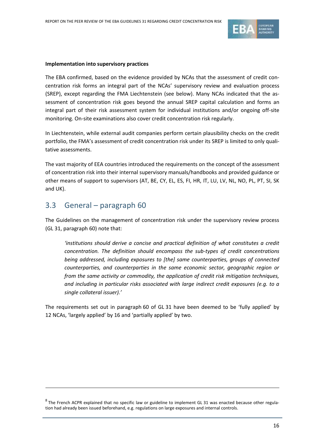

#### **Implementation into supervisory practices**

The EBA confirmed, based on the evidence provided by NCAs that the assessment of credit concentration risk forms an integral part of the NCAs' supervisory review and evaluation process (SREP), except regarding the FMA Liechtenstein (see below). Many NCAs indicated that the assessment of concentration risk goes beyond the annual SREP capital calculation and forms an integral part of their risk assessment system for individual institutions and/or ongoing off-site monitoring. On-site examinations also cover credit concentration risk regularly.

In Liechtenstein, while external audit companies perform certain plausibility checks on the credit portfolio, the FMA's assessment of credit concentration risk under its SREP is limited to only qualitative assessments.

The vast majority of EEA countries introduced the requirements on the concept of the assessment of concentration risk into their internal supervisory manuals/handbooks and provided guidance or other means of support to supervisors (AT, BE, CY, EL, ES, FI, HR, IT, LU, LV, NL, NO, PL, PT, SI, SK and UK).

## 3.3 General – paragraph 60

-

The Guidelines on the management of concentration risk under the supervisory review process (GL 31, paragraph 60) note that:

*'institutions should derive a concise and practical definition of what constitutes a credit concentration. The definition should encompass the sub-types of credit concentrations being addressed, including exposures to [the] same counterparties, groups of connected counterparties, and counterparties in the same economic sector, geographic region or from the same activity or commodity, the application of credit risk mitigation techniques, and including in particular risks associated with large indirect credit exposures (e.g. to a single collateral issuer).'*

The requirements set out in paragraph 60 of GL 31 have been deemed to be 'fully applied' by 12 NCAs, 'largely applied' by 16 and 'partially applied' by two.

 $^8$  The French ACPR explained that no specific law or guideline to implement GL 31 was enacted because other regulation had already been issued beforehand, e.g. regulations on large exposures and internal controls.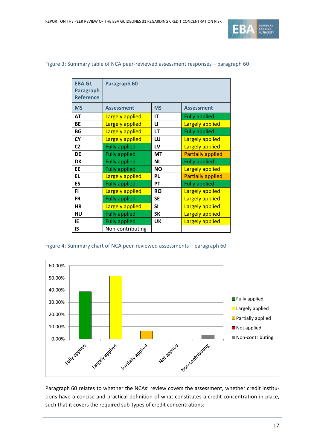

| <b>EBA GL</b><br><b>Paragraph</b><br><b>Reference</b> | Paragraph 60           |           |                          |  |
|-------------------------------------------------------|------------------------|-----------|--------------------------|--|
| <b>MS</b>                                             | <b>Assessment</b>      | <b>MS</b> | <b>Assessment</b>        |  |
| <b>AT</b>                                             | <b>Largely applied</b> | IT        | <b>Fully applied</b>     |  |
| BE                                                    | Largely applied        | LI        | <b>Largely applied</b>   |  |
| BG                                                    | <b>Largely applied</b> | LT        | <b>Fully applied</b>     |  |
| <b>CY</b>                                             | <b>Largely applied</b> | LU        | <b>Largely applied</b>   |  |
| <b>CZ</b>                                             | <b>Fully applied</b>   | LV        | Largely applied          |  |
| <b>DE</b>                                             | <b>Fully applied</b>   | MT        | <b>Partially applied</b> |  |
| <b>DK</b>                                             | <b>Fully applied</b>   | <b>NL</b> | <b>Fully applied</b>     |  |
| EE                                                    | <b>Fully applied</b>   | <b>NO</b> | Largely applied          |  |
| EL.                                                   | <b>Largely applied</b> | PL        | <b>Partially applied</b> |  |
| ES                                                    | <b>Fully applied</b>   | PT        | <b>Fully applied</b>     |  |
| FI.                                                   | <b>Largely applied</b> | <b>RO</b> | <b>Largely applied</b>   |  |
| <b>FR</b>                                             | <b>Fully applied</b>   | SE        | Largely applied          |  |
| HR                                                    | Largely applied        | SI        | Largely applied          |  |
| HU                                                    | <b>Fully applied</b>   | <b>SK</b> | <b>Largely applied</b>   |  |
| IE                                                    | <b>Fully applied</b>   | <b>UK</b> | Largely applied          |  |
| IS                                                    | Non-contributing       |           |                          |  |

#### Figure 3: Summary table of NCA peer-reviewed assessment responses – paragraph 60

#### Figure 4: Summary chart of NCA peer-reviewed assessments – paragraph 60



Paragraph 60 relates to whether the NCAs' review covers the assessment, whether credit institutions have a concise and practical definition of what constitutes a credit concentration in place, such that it covers the required sub-types of credit concentrations: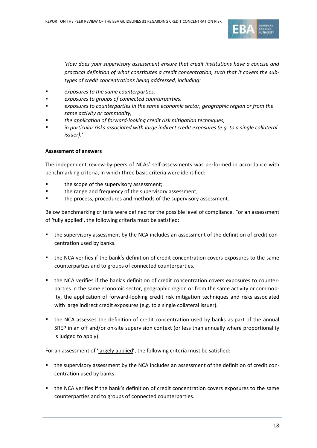

*'How does your supervisory assessment ensure that credit institutions have a concise and practical definition of what constitutes a credit concentration, such that it covers the subtypes of credit concentrations being addressed, including:*

- *exposures to the same counterparties,*
- *exposures to groups of connected counterparties,*
- *exposures to counterparties in the same economic sector, geographic region or from the same activity or commodity,*
- *the application of forward-looking credit risk mitigation techniques,*
- *in particular risks associated with large indirect credit exposures (e.g. to a single collateral issuer).'*

#### **Assessment of answers**

The independent review-by-peers of NCAs' self-assessments was performed in accordance with benchmarking criteria, in which three basic criteria were identified:

- the scope of the supervisory assessment;
- the range and frequency of the supervisory assessment;
- the process, procedures and methods of the supervisory assessment.

Below benchmarking criteria were defined for the possible level of compliance. For an assessment of 'fully applied', the following criteria must be satisfied:

- the supervisory assessment by the NCA includes an assessment of the definition of credit concentration used by banks.
- the NCA verifies if the bank's definition of credit concentration covers exposures to the same counterparties and to groups of connected counterparties.
- the NCA verifies if the bank's definition of credit concentration covers exposures to counterparties in the same economic sector, geographic region or from the same activity or commodity, the application of forward-looking credit risk mitigation techniques and risks associated with large indirect credit exposures (e.g. to a single collateral issuer).
- the NCA assesses the definition of credit concentration used by banks as part of the annual SREP in an off and/or on-site supervision context (or less than annually where proportionality is judged to apply).

For an assessment of 'largely applied', the following criteria must be satisfied:

- the supervisory assessment by the NCA includes an assessment of the definition of credit concentration used by banks.
- the NCA verifies if the bank's definition of credit concentration covers exposures to the same counterparties and to groups of connected counterparties.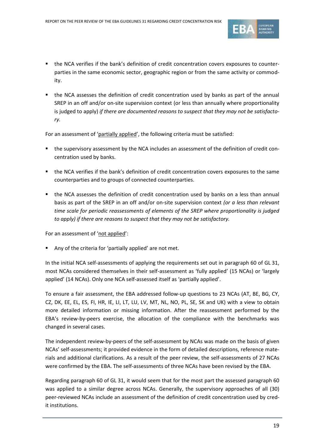

- the NCA verifies if the bank's definition of credit concentration covers exposures to counterparties in the same economic sector, geographic region or from the same activity or commodity.
- the NCA assesses the definition of credit concentration used by banks as part of the annual SREP in an off and/or on-site supervision context (or less than annually where proportionality is judged to apply) *if there are documented reasons to suspect that they may not be satisfactory.*

For an assessment of 'partially applied', the following criteria must be satisfied:

- the supervisory assessment by the NCA includes an assessment of the definition of credit concentration used by banks.
- the NCA verifies if the bank's definition of credit concentration covers exposures to the same counterparties and to groups of connected counterparties.
- the NCA assesses the definition of credit concentration used by banks on a less than annual basis as part of the SREP in an off and/or on-site supervision context *(or a less than relevant time scale for periodic reassessments of elements of the SREP where proportionality is judged to apply) if there are reasons to suspect that they may not be satisfactory.*

For an assessment of 'not applied':

Any of the criteria for 'partially applied' are not met.

In the initial NCA self-assessments of applying the requirements set out in paragraph 60 of GL 31, most NCAs considered themselves in their self-assessment as 'fully applied' (15 NCAs) or 'largely applied' (14 NCAs). Only one NCA self-assessed itself as 'partially applied'.

To ensure a fair assessment, the EBA addressed follow-up questions to 23 NCAs (AT, BE, BG, CY, CZ, DK, EE, EL, ES, FI, HR, IE, LI, LT, LU, LV, MT, NL, NO, PL, SE, SK and UK) with a view to obtain more detailed information or missing information. After the reassessment performed by the EBA's review-by-peers exercise, the allocation of the compliance with the benchmarks was changed in several cases.

The independent review-by-peers of the self-assessment by NCAs was made on the basis of given NCAs' self-assessments; it provided evidence in the form of detailed descriptions, reference materials and additional clarifications. As a result of the peer review, the self-assessments of 27 NCAs were confirmed by the EBA. The self-assessments of three NCAs have been revised by the EBA.

Regarding paragraph 60 of GL 31, it would seem that for the most part the assessed paragraph 60 was applied to a similar degree across NCAs. Generally, the supervisory approaches of all (30) peer-reviewed NCAs include an assessment of the definition of credit concentration used by credit institutions.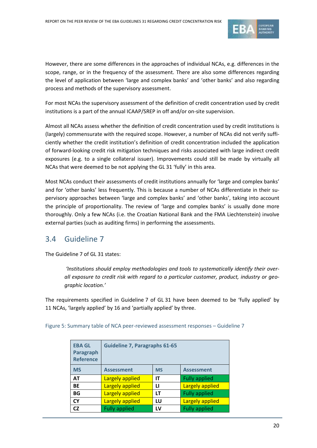

However, there are some differences in the approaches of individual NCAs, e.g. differences in the scope, range, or in the frequency of the assessment. There are also some differences regarding the level of application between 'large and complex banks' and 'other banks' and also regarding process and methods of the supervisory assessment.

For most NCAs the supervisory assessment of the definition of credit concentration used by credit institutions is a part of the annual ICAAP/SREP in off and/or on-site supervision.

Almost all NCAs assess whether the definition of credit concentration used by credit institutions is (largely) commensurate with the required scope. However, a number of NCAs did not verify sufficiently whether the credit institution's definition of credit concentration included the application of forward-looking credit risk mitigation techniques and risks associated with large indirect credit exposures (e.g. to a single collateral issuer). Improvements could still be made by virtually all NCAs that were deemed to be not applying the GL 31 'fully' in this area.

Most NCAs conduct their assessments of credit institutions annually for 'large and complex banks' and for 'other banks' less frequently. This is because a number of NCAs differentiate in their supervisory approaches between 'large and complex banks' and 'other banks', taking into account the principle of proportionality. The review of 'large and complex banks' is usually done more thoroughly. Only a few NCAs (i.e. the Croatian National Bank and the FMA Liechtenstein) involve external parties (such as auditing firms) in performing the assessments.

## 3.4 Guideline 7

The Guideline 7 of GL 31 states:

*'Institutions should employ methodologies and tools to systematically identify their overall exposure to credit risk with regard to a particular customer, product, industry or geographic location.'*

The requirements specified in Guideline 7 of GL 31 have been deemed to be 'fully applied' by 11 NCAs, 'largely applied' by 16 and 'partially applied' by three.

| <b>EBA GL</b><br>Paragraph<br><b>Reference</b> | <b>Guideline 7, Paragraphs 61-65</b>                   |    |                      |  |
|------------------------------------------------|--------------------------------------------------------|----|----------------------|--|
| <b>MS</b>                                      | <b>Assessment</b><br><b>Assessment</b><br><b>MS</b>    |    |                      |  |
| <b>AT</b>                                      | <b>Fully applied</b><br>Largely applied<br>IT          |    |                      |  |
| <b>BE</b>                                      | <b>Largely applied</b><br><b>Largely applied</b><br>Ц  |    |                      |  |
| <b>BG</b>                                      | <b>Largely applied</b>                                 | LТ | <b>Fully applied</b> |  |
| <b>CY</b>                                      | <b>Largely applied</b><br><b>Largely applied</b><br>LU |    |                      |  |
| CZ                                             | <b>Fully applied</b>                                   | LV | <b>Fully applied</b> |  |

Figure 5: Summary table of NCA peer-reviewed assessment responses – Guideline 7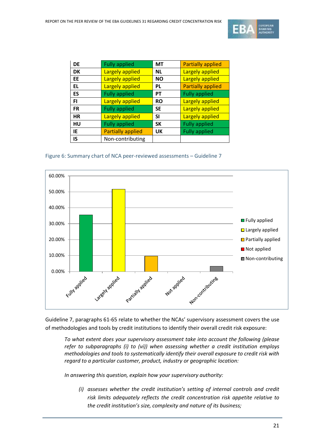

| <b>DE</b> | <b>Fully applied</b>     | МT        | <b>Partially applied</b> |
|-----------|--------------------------|-----------|--------------------------|
| <b>DK</b> | <b>Largely applied</b>   | <b>NL</b> | Largely applied          |
| <b>EE</b> | <b>Largely applied</b>   | <b>NO</b> | <b>Largely applied</b>   |
| <b>EL</b> | <b>Largely applied</b>   | <b>PL</b> | <b>Partially applied</b> |
| ES        | <b>Fully applied</b>     | <b>PT</b> | <b>Fully applied</b>     |
| FI        | <b>Largely applied</b>   | <b>RO</b> | <b>Largely applied</b>   |
| <b>FR</b> | <b>Fully applied</b>     | <b>SE</b> | <b>Largely applied</b>   |
| <b>HR</b> | Largely applied          | <b>SI</b> | <b>Largely applied</b>   |
| HU        | <b>Fully applied</b>     | <b>SK</b> | <b>Fully applied</b>     |
| IE        | <b>Partially applied</b> | UK        | <b>Fully applied</b>     |
| IS        | Non-contributing         |           |                          |

#### Figure 6: Summary chart of NCA peer-reviewed assessments – Guideline 7



Guideline 7, paragraphs 61-65 relate to whether the NCAs' supervisory assessment covers the use of methodologies and tools by credit institutions to identify their overall credit risk exposure:

*To what extent does your supervisory assessment take into account the following (please refer to subparagraphs (i) to (vi)) when assessing whether a credit institution employs methodologies and tools to systematically identify their overall exposure to credit risk with regard to a particular customer, product, industry or geographic location:*

*In answering this question, explain how your supervisory authority:*

*(i) assesses whether the credit institution's setting of internal controls and credit risk limits adequately reflects the credit concentration risk appetite relative to the credit institution's size, complexity and nature of its business;*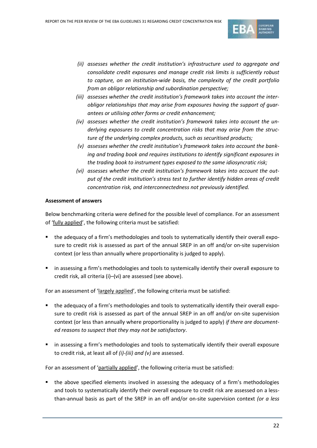

- *(ii) assesses whether the credit institution's infrastructure used to aggregate and consolidate credit exposures and manage credit risk limits is sufficiently robust to capture, on an institution-wide basis, the complexity of the credit portfolio from an obligor relationship and subordination perspective;*
- *(iii) assesses whether the credit institution's framework takes into account the interobligor relationships that may arise from exposures having the support of guarantees or utilising other forms or credit enhancement;*
- *(iv) assesses whether the credit institution's framework takes into account the underlying exposures to credit concentration risks that may arise from the structure of the underlying complex products, such as securitised products;*
- *(v) assesses whether the credit institution's framework takes into account the banking and trading book and requires institutions to identify significant exposures in the trading book to instrument types exposed to the same idiosyncratic risk;*
- *(vi) assesses whether the credit institution's framework takes into account the output of the credit institution's stress test to further identify hidden areas of credit concentration risk, and interconnectedness not previously identified.*

#### **Assessment of answers**

Below benchmarking criteria were defined for the possible level of compliance. For an assessment of 'fully applied', the following criteria must be satisfied:

- the adequacy of a firm's methodologies and tools to systematically identify their overall exposure to credit risk is assessed as part of the annual SREP in an off and/or on-site supervision context (or less than annually where proportionality is judged to apply).
- **EXECT** in assessing a firm's methodologies and tools to systemically identify their overall exposure to credit risk, all criteria (i)–(vi) are assessed (see above).

For an assessment of 'largely applied', the following criteria must be satisfied:

- the adequacy of a firm's methodologies and tools to systematically identify their overall exposure to credit risk is assessed as part of the annual SREP in an off and/or on-site supervision context (or less than annually where proportionality is judged to apply) *if there are documented reasons to suspect that they may not be satisfactory*.
- **EXECT** in assessing a firm's methodologies and tools to systematically identify their overall exposure to credit risk, at least all of *(i)-(iii) and (v)* are assessed.

For an assessment of 'partially applied', the following criteria must be satisfied:

 the above specified elements involved in assessing the adequacy of a firm's methodologies and tools to systematically identify their overall exposure to credit risk are assessed on a lessthan-annual basis as part of the SREP in an off and/or on-site supervision context *(or a less*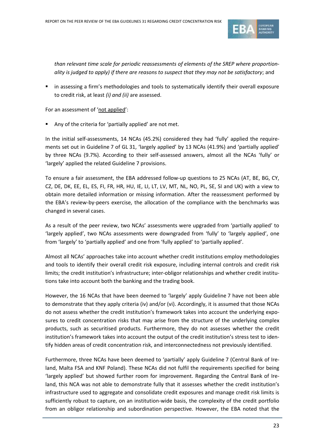

*than relevant time scale for periodic reassessments of elements of the SREP where proportionality is judged to apply) if there are reasons to suspect that they may not be satisfactory*; and

 in assessing a firm's methodologies and tools to systematically identify their overall exposure to credit risk, at least *(i) and (ii)* are assessed.

For an assessment of 'not applied':

Any of the criteria for 'partially applied' are not met.

In the initial self-assessments, 14 NCAs (45.2%) considered they had 'fully' applied the requirements set out in Guideline 7 of GL 31, 'largely applied' by 13 NCAs (41.9%) and 'partially applied' by three NCAs (9.7%). According to their self-assessed answers, almost all the NCAs 'fully' or 'largely' applied the related Guideline 7 provisions.

To ensure a fair assessment, the EBA addressed follow-up questions to 25 NCAs (AT, BE, BG, CY, CZ, DE, DK, EE, EL, ES, FI, FR, HR, HU, IE, LI, LT, LV, MT, NL, NO, PL, SE, SI and UK) with a view to obtain more detailed information or missing information. After the reassessment performed by the EBA's review-by-peers exercise, the allocation of the compliance with the benchmarks was changed in several cases.

As a result of the peer review, two NCAs' assessments were upgraded from 'partially applied' to 'largely applied', two NCAs assessments were downgraded from 'fully' to 'largely applied', one from 'largely' to 'partially applied' and one from 'fully applied' to 'partially applied'.

Almost all NCAs' approaches take into account whether credit institutions employ methodologies and tools to identify their overall credit risk exposure, including internal controls and credit risk limits; the credit institution's infrastructure; inter-obligor relationships and whether credit institutions take into account both the banking and the trading book.

However, the 16 NCAs that have been deemed to 'largely' apply Guideline 7 have not been able to demonstrate that they apply criteria (iv) and/or (vi). Accordingly, it is assumed that those NCAs do not assess whether the credit institution's framework takes into account the underlying exposures to credit concentration risks that may arise from the structure of the underlying complex products, such as securitised products. Furthermore, they do not assesses whether the credit institution's framework takes into account the output of the credit institution's stress test to identify hidden areas of credit concentration risk, and interconnectedness not previously identified.

Furthermore, three NCAs have been deemed to 'partially' apply Guideline 7 (Central Bank of Ireland, Malta FSA and KNF Poland). These NCAs did not fulfil the requirements specified for being 'largely applied' but showed further room for improvement. Regarding the Central Bank of Ireland, this NCA was not able to demonstrate fully that it assesses whether the credit institution's infrastructure used to aggregate and consolidate credit exposures and manage credit risk limits is sufficiently robust to capture, on an institution-wide basis, the complexity of the credit portfolio from an obligor relationship and subordination perspective. However, the EBA noted that the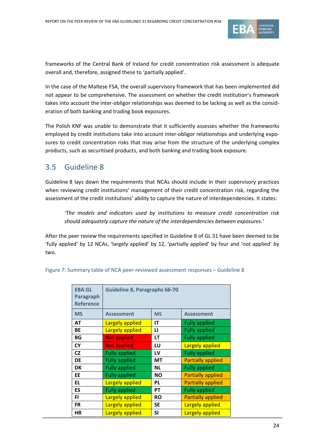

frameworks of the Central Bank of Ireland for credit concentration risk assessment is adequate overall and, therefore, assigned these to 'partially applied'.

In the case of the Maltese FSA, the overall supervisory framework that has been implemented did not appear to be comprehensive. The assessment on whether the credit institution's framework takes into account the inter-obligor relationships was deemed to be lacking as well as the consideration of both banking and trading book exposures.

The Polish KNF was unable to demonstrate that it sufficiently assesses whether the frameworks employed by credit institutions take into account inter-obligor relationships and underlying exposures to credit concentration risks that may arise from the structure of the underlying complex products, such as securitised products, and both banking and trading book exposure.

## 3.5 Guideline 8

Guideline 8 lays down the requirements that NCAs should include in their supervisory practices when reviewing credit institutions' management of their credit concentration risk, regarding the assessment of the credit institutions' ability to capture the nature of interdependencies. It states:

*'The models and indicators used by institutions to measure credit concentration risk should adequately capture the nature of the interdependencies between exposures.'*

After the peer review the requirements specified in Guideline 8 of GL 31 have been deemed to be 'fully applied' by 12 NCAs, 'largely applied' by 12, 'partially applied' by four and 'not applied' by two.

| <b>EBA GL</b><br><b>Paragraph</b><br><b>Reference</b> | <b>Guideline 8, Paragraphs 66-70</b>                            |              |                      |  |
|-------------------------------------------------------|-----------------------------------------------------------------|--------------|----------------------|--|
| <b>MS</b>                                             | <b>Assessment</b>                                               | <b>MS</b>    | <b>Assessment</b>    |  |
| <b>AT</b>                                             | Largely applied                                                 | IT           | <b>Fully applied</b> |  |
| BE                                                    | <b>Largely applied</b>                                          | $\mathbf{u}$ | <b>Fully applied</b> |  |
| BG                                                    | <b>Not applied</b>                                              | LT           | <b>Fully applied</b> |  |
| <b>CY</b>                                             | Largely applied<br><b>Not applied</b><br>LU                     |              |                      |  |
| <b>CZ</b>                                             | <b>Fully applied</b><br><b>Fully applied</b><br>LV              |              |                      |  |
| <b>DE</b>                                             | <b>Fully applied</b><br><b>Partially applied</b><br>MT          |              |                      |  |
| <b>DK</b>                                             | <b>Fully applied</b>                                            | <b>NL</b>    | <b>Fully applied</b> |  |
| EE                                                    | <b>Partially applied</b><br><b>Fully applied</b><br><b>NO</b>   |              |                      |  |
| <b>EL</b>                                             | <b>Largely applied</b><br><b>Partially applied</b><br><b>PL</b> |              |                      |  |
| ES                                                    | <b>Fully applied</b><br><b>Fully applied</b><br><b>PT</b>       |              |                      |  |
| FI.                                                   | <b>Partially applied</b><br><b>Largely applied</b><br><b>RO</b> |              |                      |  |
| <b>FR</b>                                             | <b>Largely applied</b><br>Largely applied<br><b>SE</b>          |              |                      |  |
| <b>HR</b>                                             | <b>Largely applied</b>                                          | <b>SI</b>    | Largely applied      |  |

Figure 7: Summary table of NCA peer-reviewed assessment responses – Guideline 8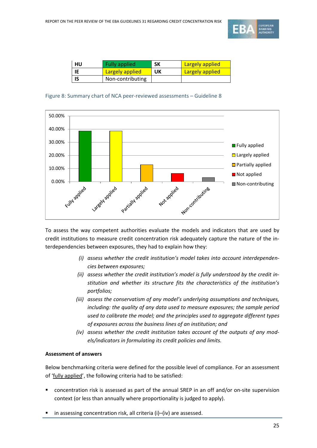

| HU | <b>Fully applied</b>   | SΚ | <b>Largely applied</b> |
|----|------------------------|----|------------------------|
|    | <b>Largely applied</b> | UΚ | <b>Largely applied</b> |
|    | Non-contributing       |    |                        |

#### Figure 8: Summary chart of NCA peer-reviewed assessments – Guideline 8



To assess the way competent authorities evaluate the models and indicators that are used by credit institutions to measure credit concentration risk adequately capture the nature of the interdependencies between exposures, they had to explain how they:

- *(i) assess whether the credit institution's model takes into account interdependencies between exposures;*
- *(ii) assess whether the credit institution's model is fully understood by the credit institution and whether its structure fits the characteristics of the institution's portfolios;*
- *(iii) assess the conservatism of any model's underlying assumptions and techniques, including: the quality of any data used to measure exposures; the sample period used to calibrate the model; and the principles used to aggregate different types of exposures across the business lines of an institution; and*
- *(iv) assess whether the credit institution takes account of the outputs of any models/indicators in formulating its credit policies and limits.*

#### **Assessment of answers**

Below benchmarking criteria were defined for the possible level of compliance. For an assessment of 'fully applied', the following criteria had to be satisfied:

- concentration risk is assessed as part of the annual SREP in an off and/or on-site supervision context (or less than annually where proportionality is judged to apply).
- in assessing concentration risk, all criteria (i)–(iv) are assessed.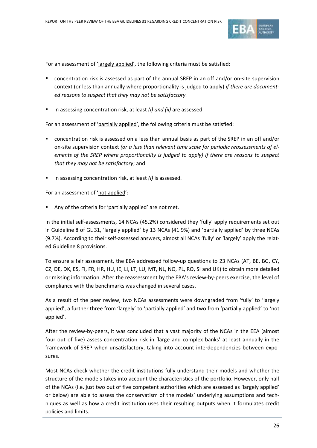

For an assessment of 'largely applied', the following criteria must be satisfied:

- concentration risk is assessed as part of the annual SREP in an off and/or on-site supervision context (or less than annually where proportionality is judged to apply) *if there are documented reasons to suspect that they may not be satisfactory.*
- in assessing concentration risk, at least *(i) and (ii)* are assessed.

For an assessment of 'partially applied', the following criteria must be satisfied:

- concentration risk is assessed on a less than annual basis as part of the SREP in an off and/or on-site supervision context *(or a less than relevant time scale for periodic reassessments of elements of the SREP where proportionality is judged to apply) if there are reasons to suspect that they may not be satisfactory*; and
- in assessing concentration risk, at least *(i)* is assessed.

For an assessment of 'not applied':

Any of the criteria for 'partially applied' are not met.

In the initial self-assessments, 14 NCAs (45.2%) considered they 'fully' apply requirements set out in Guideline 8 of GL 31, 'largely applied' by 13 NCAs (41.9%) and 'partially applied' by three NCAs (9.7%). According to their self-assessed answers, almost all NCAs 'fully' or 'largely' apply the related Guideline 8 provisions.

To ensure a fair assessment, the EBA addressed follow-up questions to 23 NCAs (AT, BE, BG, CY, CZ, DE, DK, ES, FI, FR, HR, HU, IE, LI, LT, LU, MT, NL, NO, PL, RO, SI and UK) to obtain more detailed or missing information. After the reassessment by the EBA's review-by-peers exercise, the level of compliance with the benchmarks was changed in several cases.

As a result of the peer review, two NCAs assessments were downgraded from 'fully' to 'largely applied', a further three from 'largely' to 'partially applied' and two from 'partially applied' to 'not applied'.

After the review-by-peers, it was concluded that a vast majority of the NCAs in the EEA (almost four out of five) assess concentration risk in 'large and complex banks' at least annually in the framework of SREP when unsatisfactory, taking into account interdependencies between exposures.

Most NCAs check whether the credit institutions fully understand their models and whether the structure of the models takes into account the characteristics of the portfolio. However, only half of the NCAs (i.e. just two out of five competent authorities which are assessed as 'largely applied' or below) are able to assess the conservatism of the models' underlying assumptions and techniques as well as how a credit institution uses their resulting outputs when it formulates credit policies and limits.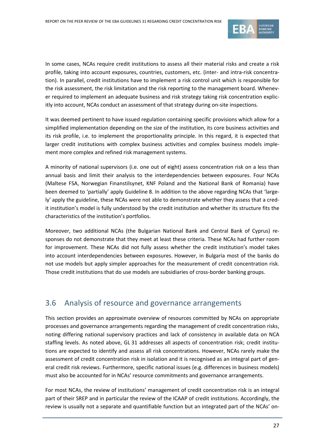

In some cases, NCAs require credit institutions to assess all their material risks and create a risk profile, taking into account exposures, countries, customers, etc. (inter- and intra-risk concentration). In parallel, credit institutions have to implement a risk control unit which is responsible for the risk assessment, the risk limitation and the risk reporting to the management board. Whenever required to implement an adequate business and risk strategy taking risk concentration explicitly into account, NCAs conduct an assessment of that strategy during on-site inspections.

It was deemed pertinent to have issued regulation containing specific provisions which allow for a simplified implementation depending on the size of the institution, its core business activities and its risk profile, i.e. to implement the proportionality principle. In this regard, it is expected that larger credit institutions with complex business activities and complex business models implement more complex and refined risk management systems.

A minority of national supervisors (i.e. one out of eight) assess concentration risk on a less than annual basis and limit their analysis to the interdependencies between exposures. Four NCAs (Maltese FSA, Norwegian Finanstilsynet, KNF Poland and the National Bank of Romania) have been deemed to 'partially' apply Guideline 8. In addition to the above regarding NCAs that 'largely' apply the guideline, these NCAs were not able to demonstrate whether they assess that a credit institution's model is fully understood by the credit institution and whether its structure fits the characteristics of the institution's portfolios.

Moreover, two additional NCAs (the Bulgarian National Bank and Central Bank of Cyprus) responses do not demonstrate that they meet at least these criteria. These NCAs had further room for improvement. These NCAs did not fully assess whether the credit institution's model takes into account interdependencies between exposures. However, in Bulgaria most of the banks do not use models but apply simpler approaches for the measurement of credit concentration risk. Those credit institutions that do use models are subsidiaries of cross-border banking groups.

## 3.6 Analysis of resource and governance arrangements

This section provides an approximate overview of resources committed by NCAs on appropriate processes and governance arrangements regarding the management of credit concentration risks, noting differing national supervisory practices and lack of consistency in available data on NCA staffing levels. As noted above, GL 31 addresses all aspects of concentration risk; credit institutions are expected to identify and assess all risk concentrations. However, NCAs rarely make the assessment of credit concentration risk in isolation and it is recognised as an integral part of general credit risk reviews. Furthermore, specific national issues (e.g. differences in business models) must also be accounted for in NCAs' resource commitments and governance arrangements.

For most NCAs, the review of institutions' management of credit concentration risk is an integral part of their SREP and in particular the review of the ICAAP of credit institutions. Accordingly, the review is usually not a separate and quantifiable function but an integrated part of the NCAs' on-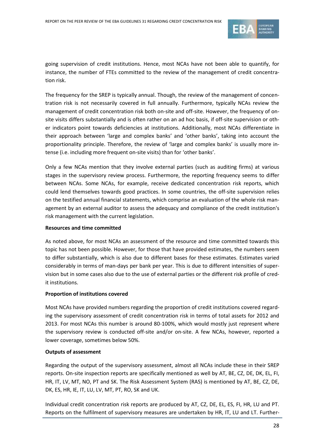

going supervision of credit institutions. Hence, most NCAs have not been able to quantify, for instance, the number of FTEs committed to the review of the management of credit concentration risk.

The frequency for the SREP is typically annual. Though, the review of the management of concentration risk is not necessarily covered in full annually. Furthermore, typically NCAs review the management of credit concentration risk both on-site and off-site. However, the frequency of onsite visits differs substantially and is often rather on an ad hoc basis, if off-site supervision or other indicators point towards deficiencies at institutions. Additionally, most NCAs differentiate in their approach between 'large and complex banks' and 'other banks', taking into account the proportionality principle. Therefore, the review of 'large and complex banks' is usually more intense (i.e. including more frequent on-site visits) than for 'other banks'.

Only a few NCAs mention that they involve external parties (such as auditing firms) at various stages in the supervisory review process. Furthermore, the reporting frequency seems to differ between NCAs. Some NCAs, for example, receive dedicated concentration risk reports, which could lend themselves towards good practices. In some countries, the off-site supervision relies on the testified annual financial statements, which comprise an evaluation of the whole risk management by an external auditor to assess the adequacy and compliance of the credit institution's risk management with the current legislation.

#### **Resources and time committed**

As noted above, for most NCAs an assessment of the resource and time committed towards this topic has not been possible. However, for those that have provided estimates, the numbers seem to differ substantially, which is also due to different bases for these estimates. Estimates varied considerably in terms of man-days per bank per year. This is due to different intensities of supervision but in some cases also due to the use of external parties or the different risk profile of credit institutions.

#### **Proportion of institutions covered**

Most NCAs have provided numbers regarding the proportion of credit institutions covered regarding the supervisory assessment of credit concentration risk in terms of total assets for 2012 and 2013. For most NCAs this number is around 80-100%, which would mostly just represent where the supervisory review is conducted off-site and/or on-site. A few NCAs, however, reported a lower coverage, sometimes below 50%.

#### **Outputs of assessment**

Regarding the output of the supervisory assessment, almost all NCAs include these in their SREP reports. On-site inspection reports are specifically mentioned as well by AT, BE, CZ, DE, DK, EL, FI, HR, IT, LV, MT, NO, PT and SK. The Risk Assessment System (RAS) is mentioned by AT, BE, CZ, DE, DK, ES, HR, IE, IT, LU, LV, MT, PT, RO, SK and UK.

Individual credit concentration risk reports are produced by AT, CZ, DE, EL, ES, FI, HR, LU and PT. Reports on the fulfilment of supervisory measures are undertaken by HR, IT, LU and LT. Further-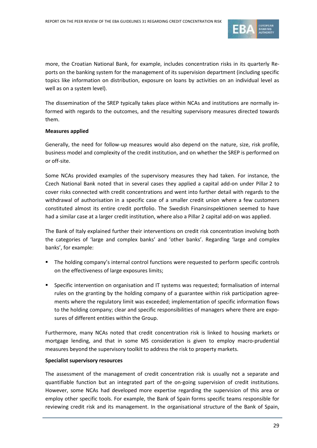

more, the Croatian National Bank, for example, includes concentration risks in its quarterly Reports on the banking system for the management of its supervision department (including specific topics like information on distribution, exposure on loans by activities on an individual level as well as on a system level).

The dissemination of the SREP typically takes place within NCAs and institutions are normally informed with regards to the outcomes, and the resulting supervisory measures directed towards them.

#### **Measures applied**

Generally, the need for follow-up measures would also depend on the nature, size, risk profile, business model and complexity of the credit institution, and on whether the SREP is performed on or off-site.

Some NCAs provided examples of the supervisory measures they had taken. For instance, the Czech National Bank noted that in several cases they applied a capital add-on under Pillar 2 to cover risks connected with credit concentrations and went into further detail with regards to the withdrawal of authorisation in a specific case of a smaller credit union where a few customers constituted almost its entire credit portfolio. The Swedish Finansinspektionen seemed to have had a similar case at a larger credit institution, where also a Pillar 2 capital add-on was applied.

The Bank of Italy explained further their interventions on credit risk concentration involving both the categories of 'large and complex banks' and 'other banks'. Regarding 'large and complex banks', for example:

- The holding company's internal control functions were requested to perform specific controls on the effectiveness of large exposures limits;
- Specific intervention on organisation and IT systems was requested; formalisation of internal rules on the granting by the holding company of a guarantee within risk participation agreements where the regulatory limit was exceeded; implementation of specific information flows to the holding company; clear and specific responsibilities of managers where there are exposures of different entities within the Group.

Furthermore, many NCAs noted that credit concentration risk is linked to housing markets or mortgage lending, and that in some MS consideration is given to employ macro-prudential measures beyond the supervisory toolkit to address the risk to property markets.

#### **Specialist supervisory resources**

The assessment of the management of credit concentration risk is usually not a separate and quantifiable function but an integrated part of the on-going supervision of credit institutions. However, some NCAs had developed more expertise regarding the supervision of this area or employ other specific tools. For example, the Bank of Spain forms specific teams responsible for reviewing credit risk and its management. In the organisational structure of the Bank of Spain,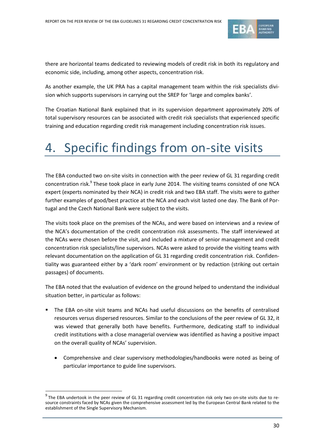

there are horizontal teams dedicated to reviewing models of credit risk in both its regulatory and economic side, including, among other aspects, concentration risk.

As another example, the UK PRA has a capital management team within the risk specialists division which supports supervisors in carrying out the SREP for 'large and complex banks'.

The Croatian National Bank explained that in its supervision department approximately 20% of total supervisory resources can be associated with credit risk specialists that experienced specific training and education regarding credit risk management including concentration risk issues.

# 4. Specific findings from on-site visits

The EBA conducted two on-site visits in connection with the peer review of GL 31 regarding credit concentration risk.<sup>9</sup> These took place in early June 2014. The visiting teams consisted of one NCA expert (experts nominated by their NCA) in credit risk and two EBA staff. The visits were to gather further examples of good/best practice at the NCA and each visit lasted one day. The Bank of Portugal and the Czech National Bank were subject to the visits.

The visits took place on the premises of the NCAs, and were based on interviews and a review of the NCA's documentation of the credit concentration risk assessments. The staff interviewed at the NCAs were chosen before the visit, and included a mixture of senior management and credit concentration risk specialists/line supervisors. NCAs were asked to provide the visiting teams with relevant documentation on the application of GL 31 regarding credit concentration risk. Confidentiality was guaranteed either by a 'dark room' environment or by redaction (striking out certain passages) of documents.

The EBA noted that the evaluation of evidence on the ground helped to understand the individual situation better, in particular as follows:

- The EBA on-site visit teams and NCAs had useful discussions on the benefits of centralised resources versus dispersed resources. Similar to the conclusions of the peer review of GL 32, it was viewed that generally both have benefits. Furthermore, dedicating staff to individual credit institutions with a close managerial overview was identified as having a positive impact on the overall quality of NCAs' supervision.
	- Comprehensive and clear supervisory methodologies/handbooks were noted as being of particular importance to guide line supervisors.

 $^9$  The EBA undertook in the peer review of GL 31 regarding credit concentration risk only two on-site visits due to resource constraints faced by NCAs given the comprehensive assessment led by the European Central Bank related to the establishment of the Single Supervisory Mechanism.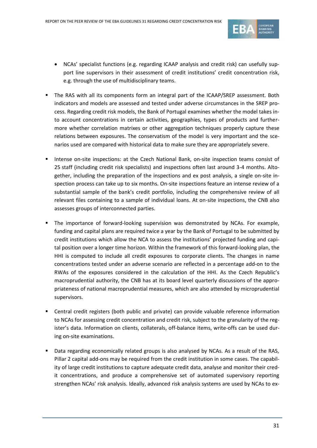

- NCAs' specialist functions (e.g. regarding ICAAP analysis and credit risk) can usefully support line supervisors in their assessment of credit institutions' credit concentration risk, e.g. through the use of multidisciplinary teams.
- The RAS with all its components form an integral part of the ICAAP/SREP assessment. Both indicators and models are assessed and tested under adverse circumstances in the SREP process. Regarding credit risk models, the Bank of Portugal examines whether the model takes into account concentrations in certain activities, geographies, types of products and furthermore whether correlation matrixes or other aggregation techniques properly capture these relations between exposures. The conservatism of the model is very important and the scenarios used are compared with historical data to make sure they are appropriately severe.
- Intense on-site inspections: at the Czech National Bank, on-site inspection teams consist of 25 staff (including credit risk specialists) and inspections often last around 3-4 months. Altogether, including the preparation of the inspections and ex post analysis, a single on-site inspection process can take up to six months. On-site inspections feature an intense review of a substantial sample of the bank's credit portfolio, including the comprehensive review of all relevant files containing to a sample of individual loans. At on-site inspections, the CNB also assesses groups of interconnected parties.
- The importance of forward-looking supervision was demonstrated by NCAs. For example, funding and capital plans are required twice a year by the Bank of Portugal to be submitted by credit institutions which allow the NCA to assess the institutions' projected funding and capital position over a longer time horizon. Within the framework of this forward-looking plan, the HHI is computed to include all credit exposures to corporate clients. The changes in name concentrations tested under an adverse scenario are reflected in a percentage add-on to the RWAs of the exposures considered in the calculation of the HHI. As the Czech Republic's macroprudential authority, the CNB has at its board level quarterly discussions of the appropriateness of national macroprudential measures, which are also attended by microprudential supervisors.
- Central credit registers (both public and private) can provide valuable reference information to NCAs for assessing credit concentration and credit risk, subject to the granularity of the register's data. Information on clients, collaterals, off-balance items, write-offs can be used during on-site examinations.
- **Data regarding economically related groups is also analysed by NCAs. As a result of the RAS,** Pillar 2 capital add-ons may be required from the credit institution in some cases. The capability of large credit institutions to capture adequate credit data, analyse and monitor their credit concentrations, and produce a comprehensive set of automated supervisory reporting strengthen NCAs' risk analysis. Ideally, advanced risk analysis systems are used by NCAs to ex-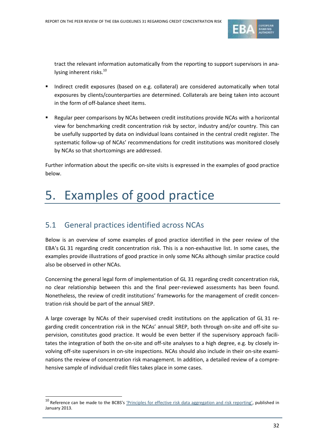

tract the relevant information automatically from the reporting to support supervisors in analysing inherent risks.<sup>10</sup>

- Indirect credit exposures (based on e.g. collateral) are considered automatically when total exposures by clients/counterparties are determined. Collaterals are being taken into account in the form of off-balance sheet items.
- Regular peer comparisons by NCAs between credit institutions provide NCAs with a horizontal view for benchmarking credit concentration risk by sector, industry and/or country. This can be usefully supported by data on individual loans contained in the central credit register. The systematic follow-up of NCAs' recommendations for credit institutions was monitored closely by NCAs so that shortcomings are addressed.

Further information about the specific on-site visits is expressed in the examples of good practice below.

# 5. Examples of good practice

## 5.1 General practices identified across NCAs

1

Below is an overview of some examples of good practice identified in the peer review of the EBA's GL 31 regarding credit concentration risk. This is a non-exhaustive list. In some cases, the examples provide illustrations of good practice in only some NCAs although similar practice could also be observed in other NCAs.

Concerning the general legal form of implementation of GL 31 regarding credit concentration risk, no clear relationship between this and the final peer-reviewed assessments has been found. Nonetheless, the review of credit institutions' frameworks for the management of credit concentration risk should be part of the annual SREP.

A large coverage by NCAs of their supervised credit institutions on the application of GL 31 regarding credit concentration risk in the NCAs' annual SREP, both through on-site and off-site supervision, constitutes good practice. It would be even better if the supervisory approach facilitates the integration of both the on-site and off-site analyses to a high degree, e.g. by closely involving off-site supervisors in on-site inspections. NCAs should also include in their on-site examinations the review of concentration risk management. In addition, a detailed review of a comprehensive sample of individual credit files takes place in some cases.

<sup>&</sup>lt;sup>10</sup> Reference can be made to the BCBS's *'[Principles for effective risk data aggregation and risk reporting](http://www.bis.org/publ/bcbs239.pdf)'*, published in January 2013.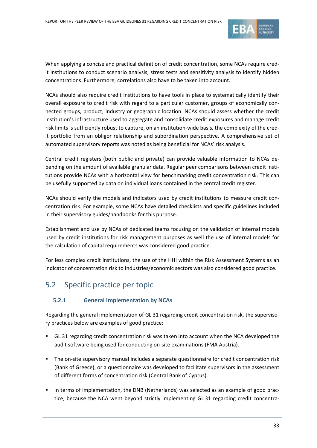

When applying a concise and practical definition of credit concentration, some NCAs require credit institutions to conduct scenario analysis, stress tests and sensitivity analysis to identify hidden concentrations. Furthermore, correlations also have to be taken into account.

NCAs should also require credit institutions to have tools in place to systematically identify their overall exposure to credit risk with regard to a particular customer, groups of economically connected groups, product, industry or geographic location. NCAs should assess whether the credit institution's infrastructure used to aggregate and consolidate credit exposures and manage credit risk limits is sufficiently robust to capture, on an institution-wide basis, the complexity of the credit portfolio from an obligor relationship and subordination perspective. A comprehensive set of automated supervisory reports was noted as being beneficial for NCAs' risk analysis.

Central credit registers (both public and private) can provide valuable information to NCAs depending on the amount of available granular data. Regular peer comparisons between credit institutions provide NCAs with a horizontal view for benchmarking credit concentration risk. This can be usefully supported by data on individual loans contained in the central credit register.

NCAs should verify the models and indicators used by credit institutions to measure credit concentration risk. For example, some NCAs have detailed checklists and specific guidelines included in their supervisory guides/handbooks for this purpose.

Establishment and use by NCAs of dedicated teams focusing on the validation of internal models used by credit institutions for risk management purposes as well the use of internal models for the calculation of capital requirements was considered good practice.

For less complex credit institutions, the use of the HHI within the Risk Assessment Systems as an indicator of concentration risk to industries/economic sectors was also considered good practice.

## 5.2 Specific practice per topic

### **5.2.1 General implementation by NCAs**

Regarding the general implementation of GL 31 regarding credit concentration risk, the supervisory practices below are examples of good practice:

- GL 31 regarding credit concentration risk was taken into account when the NCA developed the audit software being used for conducting on-site examinations (FMA Austria).
- **The on-site supervisory manual includes a separate questionnaire for credit concentration risk** (Bank of Greece), or a questionnaire was developed to facilitate supervisors in the assessment of different forms of concentration risk (Central Bank of Cyprus).
- In terms of implementation, the DNB (Netherlands) was selected as an example of good practice, because the NCA went beyond strictly implementing GL 31 regarding credit concentra-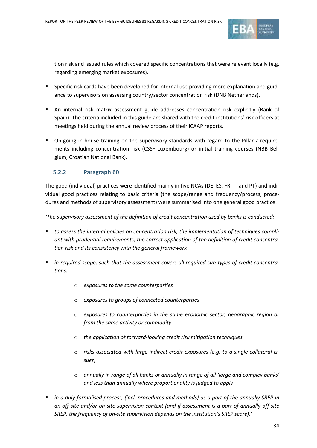

tion risk and issued rules which covered specific concentrations that were relevant locally (e.g. regarding emerging market exposures).

- Specific risk cards have been developed for internal use providing more explanation and guidance to supervisors on assessing country/sector concentration risk (DNB Netherlands).
- An internal risk matrix assessment guide addresses concentration risk explicitly (Bank of Spain). The criteria included in this guide are shared with the credit institutions' risk officers at meetings held during the annual review process of their ICAAP reports.
- On-going in-house training on the supervisory standards with regard to the Pillar 2 requirements including concentration risk (CSSF Luxembourg) or initial training courses (NBB Belgium, Croatian National Bank).

#### **5.2.2 Paragraph 60**

The good (individual) practices were identified mainly in five NCAs (DE, ES, FR, IT and PT) and individual good practices relating to basic criteria (the scope/range and frequency/process, procedures and methods of supervisory assessment) were summarised into one general good practice:

*'The supervisory assessment of the definition of credit concentration used by banks is conducted:*

- *to assess the internal policies on concentration risk, the implementation of techniques compliant with prudential requirements, the correct application of the definition of credit concentration risk and its consistency with the general framework*
- *in required scope, such that the assessment covers all required sub-types of credit concentrations:*
	- o *exposures to the same counterparties*
	- o *exposures to groups of connected counterparties*
	- o *exposures to counterparties in the same economic sector, geographic region or from the same activity or commodity*
	- o *the application of forward-looking credit risk mitigation techniques*
	- o *risks associated with large indirect credit exposures (e.g. to a single collateral issuer)*
	- o *annually in range of all banks or annually in range of all 'large and complex banks' and less than annually where proportionality is judged to apply*
- *in a duly formalised process, (incl. procedures and methods) as a part of the annually SREP in an off-site and/or on-site supervision context (and if assessment is a part of annually off-site SREP, the frequency of on-site supervision depends on the institution's SREP score).'*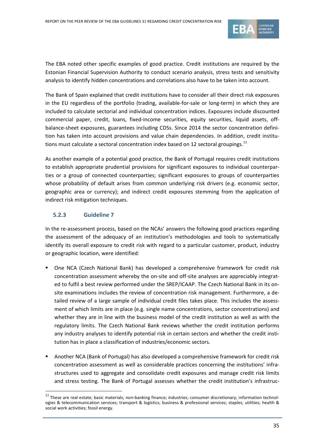

The EBA noted other specific examples of good practice. Credit institutions are required by the Estonian Financial Supervision Authority to conduct scenario analysis, stress tests and sensitivity analysis to identify hidden concentrations and correlations also have to be taken into account.

The Bank of Spain explained that credit institutions have to consider all their direct risk exposures in the EU regardless of the portfolio (trading, available-for-sale or long-term) in which they are included to calculate sectorial and individual concentration indices. Exposures include discounted commercial paper, credit, loans, fixed-income securities, equity securities, liquid assets, offbalance-sheet exposures, guarantees including CDSs. Since 2014 the sector concentration definition has taken into account provisions and value chain dependencies. In addition, credit institutions must calculate a sectoral concentration index based on 12 sectoral groupings.<sup>11</sup>

As another example of a potential good practice, the Bank of Portugal requires credit institutions to establish appropriate prudential provisions for significant exposures to individual counterparties or a group of connected counterparties; significant exposures to groups of counterparties whose probability of default arises from common underlying risk drivers (e.g. economic sector, geographic area or currency); and indirect credit exposures stemming from the application of indirect risk mitigation techniques.

#### **5.2.3 Guideline 7**

1

In the re-assessment process, based on the NCAs' answers the following good practices regarding the assessment of the adequacy of an institution's methodologies and tools to systematically identify its overall exposure to credit risk with regard to a particular customer, product, industry or geographic location, were identified:

- One NCA (Czech National Bank) has developed a comprehensive framework for credit risk concentration assessment whereby the on-site and off-site analyses are appreciably integrated to fulfil a best review performed under the SREP/ICAAP. The Czech National Bank in its onsite examinations includes the review of concentration risk management. Furthermore, a detailed review of a large sample of individual credit files takes place. This includes the assessment of which limits are in place (e.g. single name concentrations, sector concentrations) and whether they are in line with the business model of the credit institution as well as with the regulatory limits. The Czech National Bank reviews whether the credit institution performs any industry analyses to identify potential risk in certain sectors and whether the credit institution has in place a classification of industries/economic sectors.
- Another NCA (Bank of Portugal) has also developed a comprehensive framework for credit risk concentration assessment as well as considerable practices concerning the institutions' infrastructures used to aggregate and consolidate credit exposures and manage credit risk limits and stress testing. The Bank of Portugal assesses whether the credit institution's infrastruc-

 $11$  These are real estate; basic materials; non-banking finance; industries; consumer discretionary; information technologies & telecommunication services; transport & logistics; business & professional services; staples; utilities; health & social work activities; fossil energy.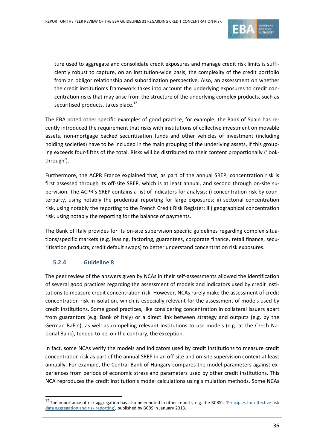

ture used to aggregate and consolidate credit exposures and manage credit risk limits is sufficiently robust to capture, on an institution-wide basis, the complexity of the credit portfolio from an obligor relationship and subordination perspective. Also, an assessment on whether the credit institution's framework takes into account the underlying exposures to credit concentration risks that may arise from the structure of the underlying complex products, such as securitised products, takes place.<sup>12</sup>

The EBA noted other specific examples of good practice, for example, the Bank of Spain has recently introduced the requirement that risks with institutions of collective investment on movable assets, non-mortgage backed securitisation funds and other vehicles of investment (including holding societies) have to be included in the main grouping of the underlying assets, if this grouping exceeds four-fifths of the total. Risks will be distributed to their content proportionally ('lookthrough').

Furthermore, the ACPR France explained that, as part of the annual SREP, concentration risk is first assessed through its off-site SREP, which is at least annual, and second through on-site supervision. The ACPR's SREP contains a list of indicators for analysis: i) concentration risk by counterparty, using notably the prudential reporting for large exposures; ii) sectorial concentration risk, using notably the reporting to the French Credit Risk Register; iii) geographical concentration risk, using notably the reporting for the balance of payments.

The Bank of Italy provides for its on-site supervision specific guidelines regarding complex situations/specific markets (e.g. leasing, factoring, guarantees, corporate finance, retail finance, securitisation products, credit default swaps) to better understand concentration risk exposures.

#### **5.2.4 Guideline 8**

1

The peer review of the answers given by NCAs in their self-assessments allowed the identification of several good practices regarding the assessment of models and indicators used by credit institutions to measure credit concentration risk. However, NCAs rarely make the assessment of credit concentration risk in isolation, which is especially relevant for the assessment of models used by credit institutions. Some good practices, like considering concentration in collateral issuers apart from guarantors (e.g. Bank of Italy) or a direct link between strategy and outputs (e.g. by the German BaFin), as well as compelling relevant institutions to use models (e.g. at the Czech National Bank), tended to be, on the contrary, the exception.

In fact, some NCAs verify the models and indicators used by credit institutions to measure credit concentration risk as part of the annual SREP in an off-site and on-site supervision context at least annually. For example, the Central Bank of Hungary compares the model parameters against experiences from periods of economic stress and parameters used by other credit institutions. This NCA reproduces the credit institution's model calculations using simulation methods. Some NCAs

<sup>&</sup>lt;sup>12</sup> The importance of risk aggregation has also been noted in other reports, e.g. the BCBS's *'Principles for effective risk* [data aggregation and risk reporting](http://www.bis.org/publ/bcbs239.pdf)', published by BCBS in January 2013.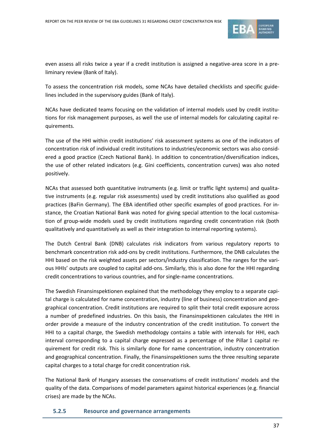

even assess all risks twice a year if a credit institution is assigned a negative-area score in a preliminary review (Bank of Italy).

To assess the concentration risk models, some NCAs have detailed checklists and specific guidelines included in the supervisory guides (Bank of Italy).

NCAs have dedicated teams focusing on the validation of internal models used by credit institutions for risk management purposes, as well the use of internal models for calculating capital requirements.

The use of the HHI within credit institutions' risk assessment systems as one of the indicators of concentration risk of individual credit institutions to industries/economic sectors was also considered a good practice (Czech National Bank). In addition to concentration/diversification indices, the use of other related indicators (e.g. Gini coefficients, concentration curves) was also noted positively.

NCAs that assessed both quantitative instruments (e.g. limit or traffic light systems) and qualitative instruments (e.g. regular risk assessments) used by credit institutions also qualified as good practices (BaFin Germany). The EBA identified other specific examples of good practices. For instance, the Croatian National Bank was noted for giving special attention to the local customisation of group-wide models used by credit institutions regarding credit concentration risk (both qualitatively and quantitatively as well as their integration to internal reporting systems).

The Dutch Central Bank (DNB) calculates risk indicators from various regulatory reports to benchmark concentration risk add-ons by credit institutions. Furthermore, the DNB calculates the HHI based on the risk weighted assets per sectors/industry classification. The ranges for the various HHIs' outputs are coupled to capital add-ons. Similarly, this is also done for the HHI regarding credit concentrations to various countries, and for single-name concentrations.

The Swedish Finansinspektionen explained that the methodology they employ to a separate capital charge is calculated for name concentration, industry (line of business) concentration and geographical concentration. Credit institutions are required to split their total credit exposure across a number of predefined industries. On this basis, the Finansinspektionen calculates the HHI in order provide a measure of the industry concentration of the credit institution. To convert the HHI to a capital charge, the Swedish methodology contains a table with intervals for HHI, each interval corresponding to a capital charge expressed as a percentage of the Pillar 1 capital requirement for credit risk. This is similarly done for name concentration, industry concentration and geographical concentration. Finally, the Finansinspektionen sums the three resulting separate capital charges to a total charge for credit concentration risk.

The National Bank of Hungary assesses the conservatisms of credit institutions' models and the quality of the data. Comparisons of model parameters against historical experiences (e.g. financial crises) are made by the NCAs.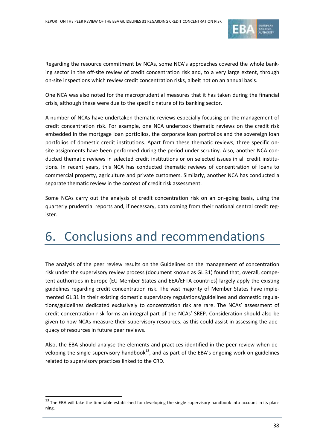

Regarding the resource commitment by NCAs, some NCA's approaches covered the whole banking sector in the off-site review of credit concentration risk and, to a very large extent, through on-site inspections which review credit concentration risks, albeit not on an annual basis.

One NCA was also noted for the macroprudential measures that it has taken during the financial crisis, although these were due to the specific nature of its banking sector.

A number of NCAs have undertaken thematic reviews especially focusing on the management of credit concentration risk. For example, one NCA undertook thematic reviews on the credit risk embedded in the mortgage loan portfolios, the corporate loan portfolios and the sovereign loan portfolios of domestic credit institutions. Apart from these thematic reviews, three specific onsite assignments have been performed during the period under scrutiny. Also, another NCA conducted thematic reviews in selected credit institutions or on selected issues in all credit institutions. In recent years, this NCA has conducted thematic reviews of concentration of loans to commercial property, agriculture and private customers. Similarly, another NCA has conducted a separate thematic review in the context of credit risk assessment.

Some NCAs carry out the analysis of credit concentration risk on an on-going basis, using the quarterly prudential reports and, if necessary, data coming from their national central credit register.

# 6. Conclusions and recommendations

The analysis of the peer review results on the Guidelines on the management of concentration risk under the supervisory review process (document known as GL 31) found that, overall, competent authorities in Europe (EU Member States and EEA/EFTA countries) largely apply the existing guidelines regarding credit concentration risk. The vast majority of Member States have implemented GL 31 in their existing domestic supervisory regulations/guidelines and domestic regulations/guidelines dedicated exclusively to concentration risk are rare. The NCAs' assessment of credit concentration risk forms an integral part of the NCAs' SREP. Consideration should also be given to how NCAs measure their supervisory resources, as this could assist in assessing the adequacy of resources in future peer reviews.

Also, the EBA should analyse the elements and practices identified in the peer review when developing the single supervisory handbook<sup>13</sup>, and as part of the EBA's ongoing work on guidelines related to supervisory practices linked to the CRD.

 $13$  The EBA will take the timetable established for developing the single supervisory handbook into account in its planning.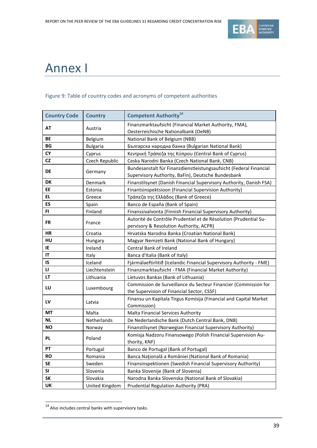

# Annex I

#### Figure 9: Table of country codes and acronyms of competent authorities

| <b>Country Code</b> | <b>Country</b>  | <b>Competent Authority<sup>14</sup></b>                                                                                  |  |
|---------------------|-----------------|--------------------------------------------------------------------------------------------------------------------------|--|
| AT                  | Austria         | Finanzmarktaufsicht (Financial Market Authority, FMA),<br>Oesterreichische Nationalbank (OeNB)                           |  |
| BE                  | <b>Belgium</b>  | National Bank of Belgium (NBB)                                                                                           |  |
| BG                  | <b>Bulgaria</b> | Българска народна банка (Bulgarian National Bank)                                                                        |  |
| CY                  | Cyprus          | Κεντρική Τράπεζα της Κύπρου (Central Bank of Cyprus)                                                                     |  |
| <b>CZ</b>           | Czech Republic  | Ceska Narodni Banka (Czech National Bank, CNB)                                                                           |  |
| DE                  | Germany         | Bundesanstalt für Finanzdienstleistungsaufsicht (Federal Financial<br>Supervisory Authority, BaFin), Deutsche Bundesbank |  |
| DK                  | Denmark         | Finanstilsynet (Danish Financial Supervisory Authority, Danish FSA)                                                      |  |
| EE                  | Estonia         | Finantsinspektsioon (Financial Supervision Authority)                                                                    |  |
| EL.                 | Greece          | Τράπεζα της Ελλάδος (Bank of Greece)                                                                                     |  |
| ES                  | Spain           | Banco de España (Bank of Spain)                                                                                          |  |
| FI                  | Finland         | Finanssivalvonta (Finnish Financial Supervisory Authority)                                                               |  |
| <b>FR</b>           | France          | Autorité de Contrôle Prudentiel et de Résolution (Prudential Su-                                                         |  |
|                     |                 | pervisory & Resolution Authority, ACPR)                                                                                  |  |
| <b>HR</b>           | Croatia         | Hrvatska Narodna Banka (Croatian National Bank)                                                                          |  |
| HU                  | Hungary         | Magyar Nemzeti Bank (National Bank of Hungary)                                                                           |  |
| IE                  | Ireland         | Central Bank of Ireland                                                                                                  |  |
| IT                  | Italy           | Banca d'Italia (Bank of Italy)                                                                                           |  |
| IS                  | Iceland         | Fjármálaeftirlitið (Icelandic Financial Supervisory Authority - FME)                                                     |  |
| u                   | Liechtenstein   | Finanzmarktaufsicht - FMA (Financial Market Authority)                                                                   |  |
| LT.                 | Lithuania       | Lietuvos Bankas (Bank of Lithuania)                                                                                      |  |
| LU                  | Luxembourg      | Commission de Surveillance du Secteur Financier (Commission for<br>the Supervision of Financial Sector, CSSF)            |  |
| LV                  | Latvia          | Finansu un Kapitala Tirgus Komisija (Financial and Capital Market<br>Commission)                                         |  |
| МT                  | Malta           | Malta Financial Services Authority                                                                                       |  |
| ΝL                  | Netherlands     | De Nederlandsche Bank (Dutch Central Bank, DNB)                                                                          |  |
| ΝO                  | Norway          | Finanstilsynet (Norwegian Financial Supervisory Authority)                                                               |  |
| PL                  | Poland          | Komisja Nadzoru Finansowego (Polish Financial Supervision Au-<br>thority, KNF)                                           |  |
| PΤ                  | Portugal        | Banco de Portugal (Bank of Portugal)                                                                                     |  |
| <b>RO</b>           | Romania         | Banca Națională a României (National Bank of Romania)                                                                    |  |
| SE                  | Sweden          | Finansinspektionen (Swedish Financial Supervisory Authority)                                                             |  |
| SI                  | Slovenia        | Banka Slovenije (Bank of Slovenia)                                                                                       |  |
| SΚ                  | Slovakia        | Narodna Banka Slovenska (National Bank of Slovakia)                                                                      |  |
| <b>UK</b>           | United Kingdom  | <b>Prudential Regulation Authority (PRA)</b>                                                                             |  |

 $\frac{1}{14}$  Also includes central banks with supervisory tasks.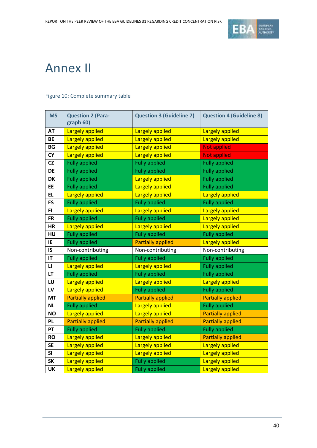

# Annex II

#### Figure 10: Complete summary table

| <b>MS</b>    | <b>Question 2 (Para-</b><br>graph 60) | <b>Question 3 (Guideline 7)</b> | <b>Question 4 (Guideline 8)</b> |
|--------------|---------------------------------------|---------------------------------|---------------------------------|
| <b>AT</b>    | <b>Largely applied</b>                | <b>Largely applied</b>          | <b>Largely applied</b>          |
| <b>BE</b>    | Largely applied                       | <b>Largely applied</b>          | <b>Largely applied</b>          |
| BG           | Largely applied                       | <b>Largely applied</b>          | <b>Not applied</b>              |
| <b>CY</b>    | Largely applied                       | <b>Largely applied</b>          | <b>Not applied</b>              |
| CZ           | <b>Fully applied</b>                  | <b>Fully applied</b>            | <b>Fully applied</b>            |
| DE           | <b>Fully applied</b>                  | <b>Fully applied</b>            | <b>Fully applied</b>            |
| <b>DK</b>    | <b>Fully applied</b>                  | <b>Largely applied</b>          | <b>Fully applied</b>            |
| EE           | <b>Fully applied</b>                  | <b>Largely applied</b>          | <b>Fully applied</b>            |
| <b>EL</b>    | <b>Largely applied</b>                | Largely applied                 | <b>Largely applied</b>          |
| <b>ES</b>    | <b>Fully applied</b>                  | <b>Fully applied</b>            | <b>Fully applied</b>            |
| FI.          | Largely applied                       | <b>Largely applied</b>          | Largely applied                 |
| <b>FR</b>    | <b>Fully applied</b>                  | <b>Fully applied</b>            | Largely applied                 |
| <b>HR</b>    | <b>Largely applied</b>                | <b>Largely applied</b>          | <b>Largely applied</b>          |
| HU           | <b>Fully applied</b>                  | <b>Fully applied</b>            | <b>Fully applied</b>            |
| IE           | <b>Fully applied</b>                  | <b>Partially applied</b>        | <b>Largely applied</b>          |
| IS           | Non-contributing                      | Non-contributing                | Non-contributing                |
| IT           | <b>Fully applied</b>                  | <b>Fully applied</b>            | <b>Fully applied</b>            |
| $\mathbf{L}$ | Largely applied                       | Largely applied                 | <b>Fully applied</b>            |
| LT           | <b>Fully applied</b>                  | <b>Fully applied</b>            | <b>Fully applied</b>            |
| LU           | Largely applied                       | Largely applied                 | Largely applied                 |
| LV           | Largely applied                       | <b>Fully applied</b>            | <b>Fully applied</b>            |
| <b>MT</b>    | <b>Partially applied</b>              | <b>Partially applied</b>        | <b>Partially applied</b>        |
| <b>NL</b>    | <b>Fully applied</b>                  | <b>Largely applied</b>          | <b>Fully applied</b>            |
| <b>NO</b>    | <b>Largely applied</b>                | <b>Largely applied</b>          | <b>Partially applied</b>        |
| <b>PL</b>    | <b>Partially applied</b>              | <b>Partially applied</b>        | <b>Partially applied</b>        |
| PT           | <b>Fully applied</b>                  | <b>Fully applied</b>            | <b>Fully applied</b>            |
| <b>RO</b>    | <b>Largely applied</b>                | <b>Largely applied</b>          | <b>Partially applied</b>        |
| <b>SE</b>    | Largely applied                       | Largely applied                 | Largely applied                 |
| <b>SI</b>    | <b>Largely applied</b>                | Largely applied                 | <b>Largely applied</b>          |
| <b>SK</b>    | Largely applied                       | <b>Fully applied</b>            | <b>Largely applied</b>          |
| <b>UK</b>    | Largely applied                       | <b>Fully applied</b>            | Largely applied                 |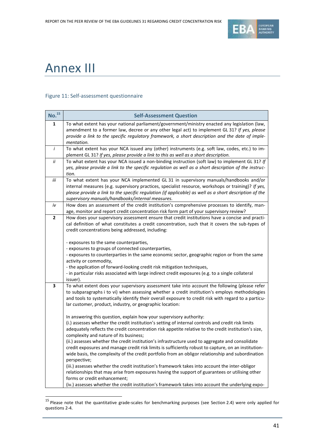

## Annex III

#### Figure 11: Self-assessment questionnaire

| No. <sup>15</sup> | <b>Self-Assessment Question</b>                                                                                                                                                                                                                                                                                                                                                                                                                                                                                                                                                                                                                                                                                                                                  |
|-------------------|------------------------------------------------------------------------------------------------------------------------------------------------------------------------------------------------------------------------------------------------------------------------------------------------------------------------------------------------------------------------------------------------------------------------------------------------------------------------------------------------------------------------------------------------------------------------------------------------------------------------------------------------------------------------------------------------------------------------------------------------------------------|
| 1                 | To what extent has your national parliament/government/ministry enacted any legislation (law,<br>amendment to a former law, decree or any other legal act) to implement GL 31? If yes, please<br>provide a link to the specific regulatory framework, a short description and the date of imple-<br>mentation.                                                                                                                                                                                                                                                                                                                                                                                                                                                   |
| $\boldsymbol{i}$  | To what extent has your NCA issued any (other) instruments (e.g. soft law, codes, etc.) to im-<br>plement GL 31? If yes, please provide a link to this as well as a short description.                                                                                                                                                                                                                                                                                                                                                                                                                                                                                                                                                                           |
| ii                | To what extent has your NCA issued a non-binding instruction (soft law) to implement GL 31? If<br>yes, please provide a link to the specific regulation as well as a short description of the instruc-<br>tion.                                                                                                                                                                                                                                                                                                                                                                                                                                                                                                                                                  |
| iii               | To what extent has your NCA implemented GL 31 in supervisory manuals/handbooks and/or<br>internal measures (e.g. supervisory practices, specialist resource, workshops or training)? If yes,<br>please provide a link to the specific regulation (if applicable) as well as a short description of the<br>supervisory manuals/handbooks/internal measures.                                                                                                                                                                                                                                                                                                                                                                                                       |
| iv                | How does an assessment of the credit institution's comprehensive processes to identify, man-<br>age, monitor and report credit concentration risk form part of your supervisory review?                                                                                                                                                                                                                                                                                                                                                                                                                                                                                                                                                                          |
| $\mathbf{2}$      | How does your supervisory assessment ensure that credit institutions have a concise and practi-<br>cal definition of what constitutes a credit concentration, such that it covers the sub-types of<br>credit concentrations being addressed, including:                                                                                                                                                                                                                                                                                                                                                                                                                                                                                                          |
|                   | - exposures to the same counterparties,<br>- exposures to groups of connected counterparties,<br>- exposures to counterparties in the same economic sector, geographic region or from the same<br>activity or commodity,<br>- the application of forward-looking credit risk mitigation techniques,<br>- in particular risks associated with large indirect credit exposures (e.g. to a single collateral                                                                                                                                                                                                                                                                                                                                                        |
| 3                 | issuer).<br>To what extent does your supervisory assessment take into account the following (please refer<br>to subparagraphs i to vi) when assessing whether a credit institution's employs methodologies<br>and tools to systematically identify their overall exposure to credit risk with regard to a particu-<br>lar customer, product, industry, or geographic location:                                                                                                                                                                                                                                                                                                                                                                                   |
|                   | In answering this question, explain how your supervisory authority:<br>(i.) assesses whether the credit institution's setting of internal controls and credit risk limits<br>adequately reflects the credit concentration risk appetite relative to the credit institution's size,<br>complexity and nature of its business;<br>(ii.) assesses whether the credit institution's infrastructure used to aggregate and consolidate<br>credit exposures and manage credit risk limits is sufficiently robust to capture, on an institution-<br>wide basis, the complexity of the credit portfolio from an obligor relationship and subordination<br>perspective;<br>(iii.) assesses whether the credit institution's framework takes into account the inter-obligor |
|                   | relationships that may arise from exposures having the support of guarantees or utilising other<br>forms or credit enhancement;<br>(iv.) assesses whether the credit institution's framework takes into account the underlying expo-                                                                                                                                                                                                                                                                                                                                                                                                                                                                                                                             |

 <sup>15</sup> Please note that the quantitative grade-scales for benchmarking purposes (see Section 2.4) were only applied for questions 2-4.